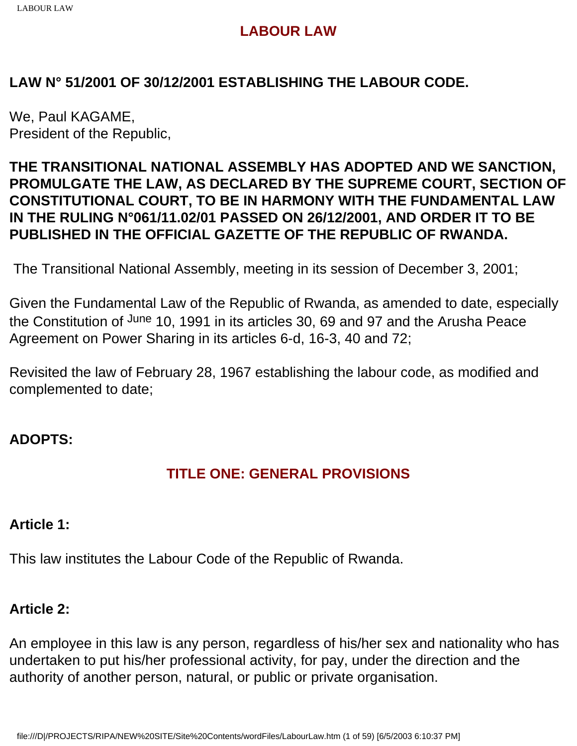## **LAW N° 51/2001 OF 30/12/2001 ESTABLISHING THE LABOUR CODE.**

We, Paul KAGAME, President of the Republic,

## **THE TRANSITIONAL NATIONAL ASSEMBLY HAS ADOPTED AND WE SANCTION, PROMULGATE THE LAW, AS DECLARED BY THE SUPREME COURT, SECTION OF CONSTITUTIONAL COURT, TO BE IN HARMONY WITH THE FUNDAMENTAL LAW IN THE RULING N°061/11.02/01 PASSED ON 26/12/2001, AND ORDER IT TO BE PUBLISHED IN THE OFFICIAL GAZETTE OF THE REPUBLIC OF RWANDA.**

The Transitional National Assembly, meeting in its session of December 3, 2001;

Given the Fundamental Law of the Republic of Rwanda, as amended to date, especially the Constitution of June 10, 1991 in its articles 30, 69 and 97 and the Arusha Peace Agreement on Power Sharing in its articles 6-d, 16-3, 40 and 72;

Revisited the law of February 28, 1967 establishing the labour code, as modified and complemented to date;

## **ADOPTS:**

## **TITLE ONE: GENERAL PROVISIONS**

#### **Article 1:**

This law institutes the Labour Code of the Republic of Rwanda.

#### **Article 2:**

An employee in this law is any person, regardless of his/her sex and nationality who has undertaken to put his/her professional activity, for pay, under the direction and the authority of another person, natural, or public or private organisation.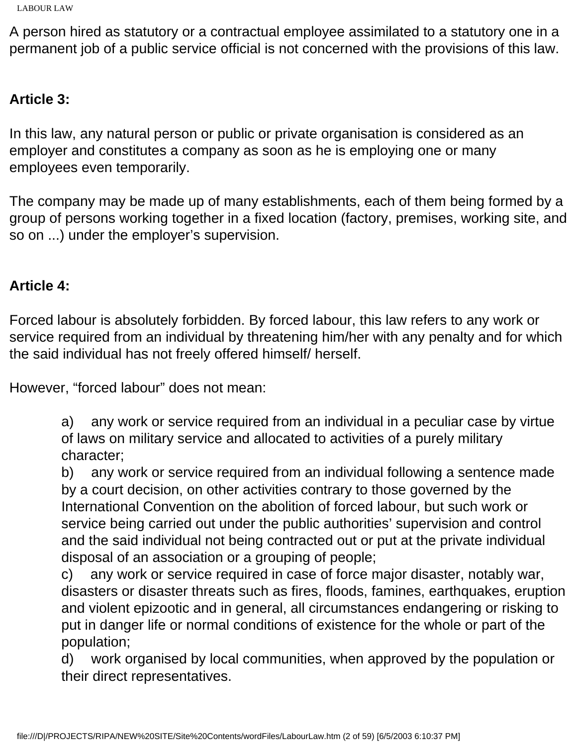A person hired as statutory or a contractual employee assimilated to a statutory one in a permanent job of a public service official is not concerned with the provisions of this law.

## **Article 3:**

In this law, any natural person or public or private organisation is considered as an employer and constitutes a company as soon as he is employing one or many employees even temporarily.

The company may be made up of many establishments, each of them being formed by a group of persons working together in a fixed location (factory, premises, working site, and so on ...) under the employer's supervision.

## **Article 4:**

Forced labour is absolutely forbidden. By forced labour, this law refers to any work or service required from an individual by threatening him/her with any penalty and for which the said individual has not freely offered himself/ herself.

However, "forced labour" does not mean:

a) any work or service required from an individual in a peculiar case by virtue of laws on military service and allocated to activities of a purely military character;

b) any work or service required from an individual following a sentence made by a court decision, on other activities contrary to those governed by the International Convention on the abolition of forced labour, but such work or service being carried out under the public authorities' supervision and control and the said individual not being contracted out or put at the private individual disposal of an association or a grouping of people;

c) any work or service required in case of force major disaster, notably war, disasters or disaster threats such as fires, floods, famines, earthquakes, eruption and violent epizootic and in general, all circumstances endangering or risking to put in danger life or normal conditions of existence for the whole or part of the population;

d) work organised by local communities, when approved by the population or their direct representatives.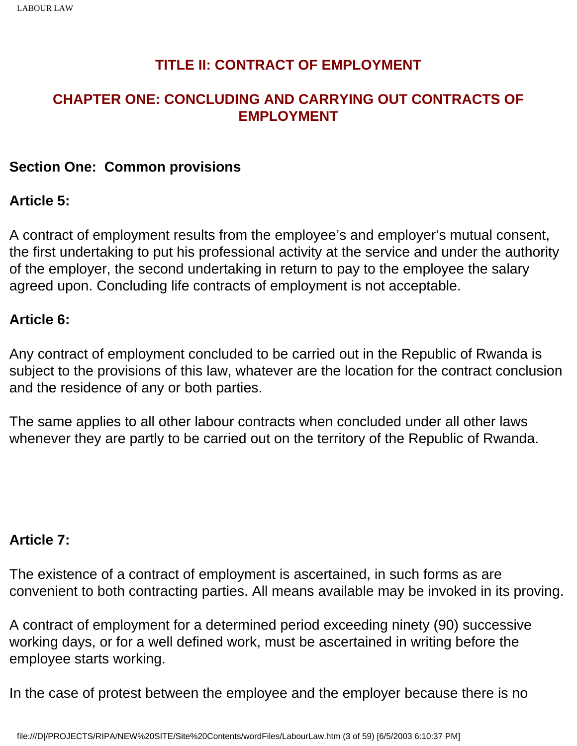## **TITLE II: CONTRACT OF EMPLOYMENT**

## **CHAPTER ONE: CONCLUDING AND CARRYING OUT CONTRACTS OF EMPLOYMENT**

### **Section One: Common provisions**

### **Article 5:**

A contract of employment results from the employee's and employer's mutual consent, the first undertaking to put his professional activity at the service and under the authority of the employer, the second undertaking in return to pay to the employee the salary agreed upon. Concluding life contracts of employment is not acceptable.

### **Article 6:**

Any contract of employment concluded to be carried out in the Republic of Rwanda is subject to the provisions of this law, whatever are the location for the contract conclusion and the residence of any or both parties.

The same applies to all other labour contracts when concluded under all other laws whenever they are partly to be carried out on the territory of the Republic of Rwanda.

#### **Article 7:**

The existence of a contract of employment is ascertained, in such forms as are convenient to both contracting parties. All means available may be invoked in its proving.

A contract of employment for a determined period exceeding ninety (90) successive working days, or for a well defined work, must be ascertained in writing before the employee starts working.

In the case of protest between the employee and the employer because there is no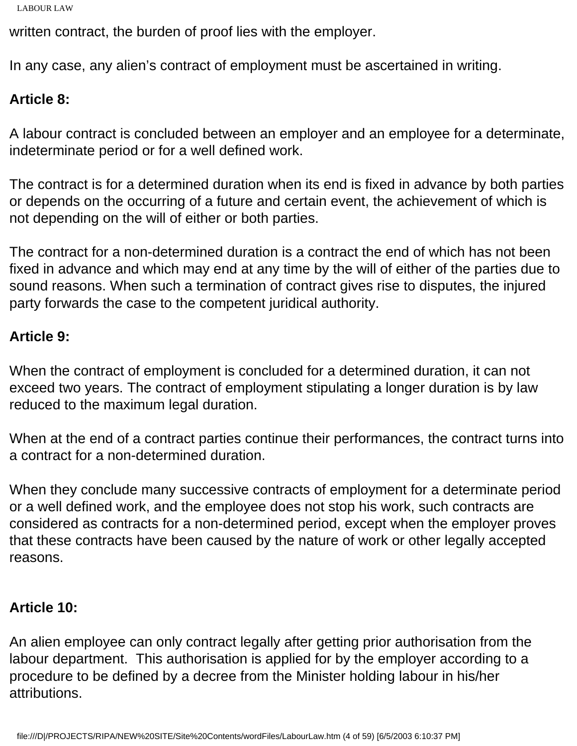```
LABOUR LAW
```
written contract, the burden of proof lies with the employer.

In any case, any alien's contract of employment must be ascertained in writing.

# **Article 8:**

A labour contract is concluded between an employer and an employee for a determinate, indeterminate period or for a well defined work.

The contract is for a determined duration when its end is fixed in advance by both parties or depends on the occurring of a future and certain event, the achievement of which is not depending on the will of either or both parties.

The contract for a non-determined duration is a contract the end of which has not been fixed in advance and which may end at any time by the will of either of the parties due to sound reasons. When such a termination of contract gives rise to disputes, the injured party forwards the case to the competent juridical authority.

## **Article 9:**

When the contract of employment is concluded for a determined duration, it can not exceed two years. The contract of employment stipulating a longer duration is by law reduced to the maximum legal duration.

When at the end of a contract parties continue their performances, the contract turns into a contract for a non-determined duration.

When they conclude many successive contracts of employment for a determinate period or a well defined work, and the employee does not stop his work, such contracts are considered as contracts for a non-determined period, except when the employer proves that these contracts have been caused by the nature of work or other legally accepted reasons.

## **Article 10:**

An alien employee can only contract legally after getting prior authorisation from the labour department. This authorisation is applied for by the employer according to a procedure to be defined by a decree from the Minister holding labour in his/her attributions.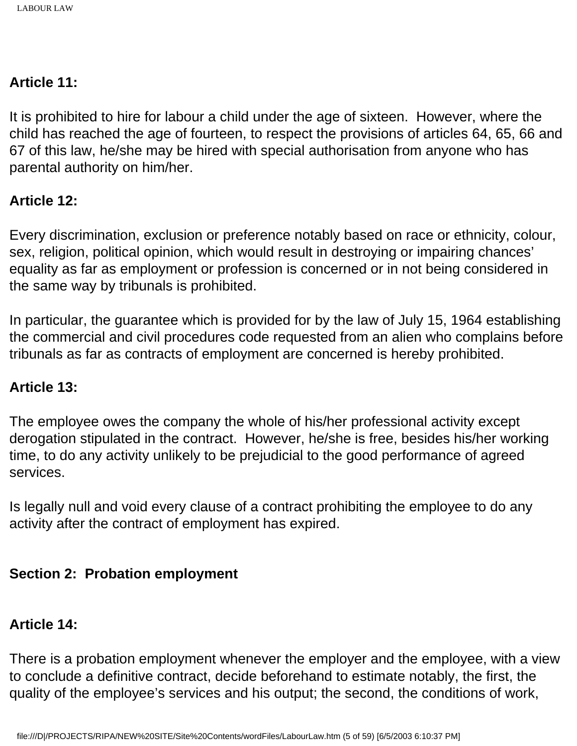## **Article 11:**

It is prohibited to hire for labour a child under the age of sixteen. However, where the child has reached the age of fourteen, to respect the provisions of articles 64, 65, 66 and 67 of this law, he/she may be hired with special authorisation from anyone who has parental authority on him/her.

## **Article 12:**

Every discrimination, exclusion or preference notably based on race or ethnicity, colour, sex, religion, political opinion, which would result in destroying or impairing chances' equality as far as employment or profession is concerned or in not being considered in the same way by tribunals is prohibited.

In particular, the guarantee which is provided for by the law of July 15, 1964 establishing the commercial and civil procedures code requested from an alien who complains before tribunals as far as contracts of employment are concerned is hereby prohibited.

#### **Article 13:**

The employee owes the company the whole of his/her professional activity except derogation stipulated in the contract. However, he/she is free, besides his/her working time, to do any activity unlikely to be prejudicial to the good performance of agreed services.

Is legally null and void every clause of a contract prohibiting the employee to do any activity after the contract of employment has expired.

## **Section 2: Probation employment**

## **Article 14:**

There is a probation employment whenever the employer and the employee, with a view to conclude a definitive contract, decide beforehand to estimate notably, the first, the quality of the employee's services and his output; the second, the conditions of work,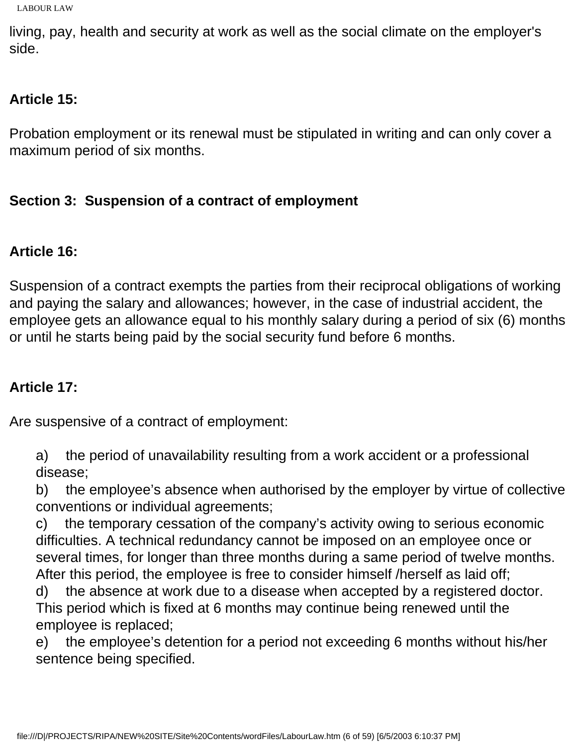```
LABOUR LAW
```
living, pay, health and security at work as well as the social climate on the employer's side.

# **Article 15:**

Probation employment or its renewal must be stipulated in writing and can only cover a maximum period of six months.

# **Section 3: Suspension of a contract of employment**

# **Article 16:**

Suspension of a contract exempts the parties from their reciprocal obligations of working and paying the salary and allowances; however, in the case of industrial accident, the employee gets an allowance equal to his monthly salary during a period of six (6) months or until he starts being paid by the social security fund before 6 months.

# **Article 17:**

Are suspensive of a contract of employment:

a) the period of unavailability resulting from a work accident or a professional disease;

b) the employee's absence when authorised by the employer by virtue of collective conventions or individual agreements;

c) the temporary cessation of the company's activity owing to serious economic difficulties. A technical redundancy cannot be imposed on an employee once or several times, for longer than three months during a same period of twelve months. After this period, the employee is free to consider himself /herself as laid off;

d) the absence at work due to a disease when accepted by a registered doctor. This period which is fixed at 6 months may continue being renewed until the employee is replaced;

e) the employee's detention for a period not exceeding 6 months without his/her sentence being specified.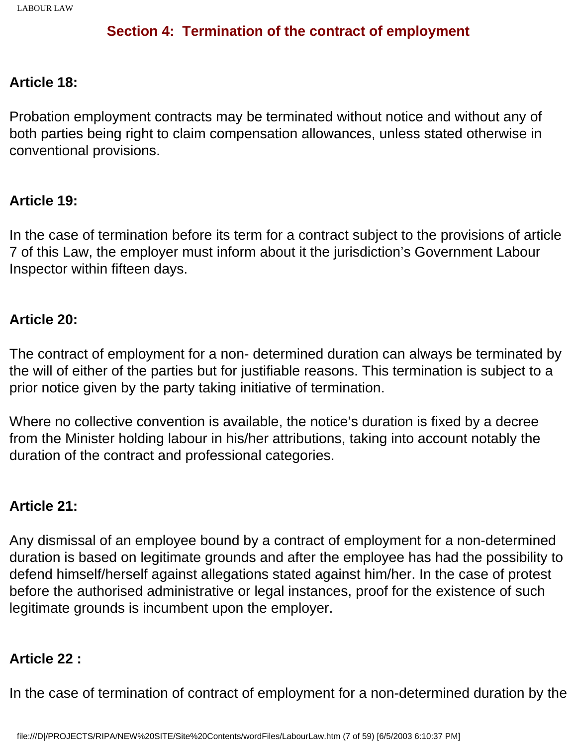## **Section 4: Termination of the contract of employment**

### **Article 18:**

Probation employment contracts may be terminated without notice and without any of both parties being right to claim compensation allowances, unless stated otherwise in conventional provisions.

#### **Article 19:**

In the case of termination before its term for a contract subject to the provisions of article 7 of this Law, the employer must inform about it the jurisdiction's Government Labour Inspector within fifteen days.

#### **Article 20:**

The contract of employment for a non- determined duration can always be terminated by the will of either of the parties but for justifiable reasons. This termination is subject to a prior notice given by the party taking initiative of termination.

Where no collective convention is available, the notice's duration is fixed by a decree from the Minister holding labour in his/her attributions, taking into account notably the duration of the contract and professional categories.

#### **Article 21:**

Any dismissal of an employee bound by a contract of employment for a non-determined duration is based on legitimate grounds and after the employee has had the possibility to defend himself/herself against allegations stated against him/her. In the case of protest before the authorised administrative or legal instances, proof for the existence of such legitimate grounds is incumbent upon the employer.

#### **Article 22 :**

In the case of termination of contract of employment for a non-determined duration by the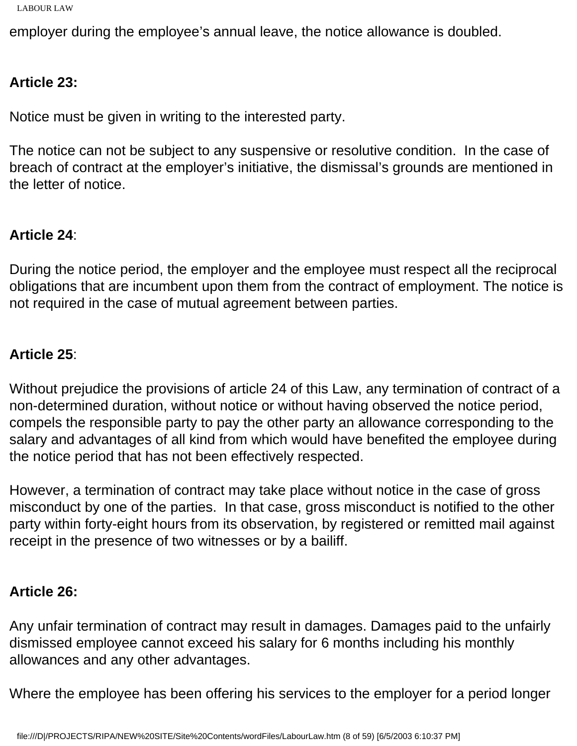```
LABOUR LAW
```
employer during the employee's annual leave, the notice allowance is doubled.

## **Article 23:**

Notice must be given in writing to the interested party.

The notice can not be subject to any suspensive or resolutive condition. In the case of breach of contract at the employer's initiative, the dismissal's grounds are mentioned in the letter of notice.

## **Article 24**:

During the notice period, the employer and the employee must respect all the reciprocal obligations that are incumbent upon them from the contract of employment. The notice is not required in the case of mutual agreement between parties.

## **Article 25**:

Without prejudice the provisions of article 24 of this Law, any termination of contract of a non-determined duration, without notice or without having observed the notice period, compels the responsible party to pay the other party an allowance corresponding to the salary and advantages of all kind from which would have benefited the employee during the notice period that has not been effectively respected.

However, a termination of contract may take place without notice in the case of gross misconduct by one of the parties. In that case, gross misconduct is notified to the other party within forty-eight hours from its observation, by registered or remitted mail against receipt in the presence of two witnesses or by a bailiff.

## **Article 26:**

Any unfair termination of contract may result in damages. Damages paid to the unfairly dismissed employee cannot exceed his salary for 6 months including his monthly allowances and any other advantages.

Where the employee has been offering his services to the employer for a period longer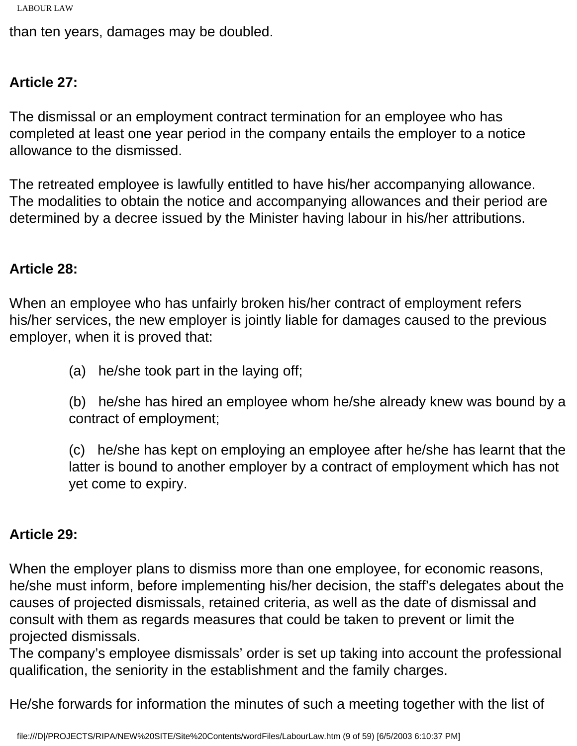```
LABOUR LAW
```
than ten years, damages may be doubled.

## **Article 27:**

The dismissal or an employment contract termination for an employee who has completed at least one year period in the company entails the employer to a notice allowance to the dismissed.

The retreated employee is lawfully entitled to have his/her accompanying allowance. The modalities to obtain the notice and accompanying allowances and their period are determined by a decree issued by the Minister having labour in his/her attributions.

## **Article 28:**

When an employee who has unfairly broken his/her contract of employment refers his/her services, the new employer is jointly liable for damages caused to the previous employer, when it is proved that:

(a) he/she took part in the laying off;

(b) he/she has hired an employee whom he/she already knew was bound by a contract of employment;

(c) he/she has kept on employing an employee after he/she has learnt that the latter is bound to another employer by a contract of employment which has not yet come to expiry.

## **Article 29:**

When the employer plans to dismiss more than one employee, for economic reasons, he/she must inform, before implementing his/her decision, the staff's delegates about the causes of projected dismissals, retained criteria, as well as the date of dismissal and consult with them as regards measures that could be taken to prevent or limit the projected dismissals.

The company's employee dismissals' order is set up taking into account the professional qualification, the seniority in the establishment and the family charges.

He/she forwards for information the minutes of such a meeting together with the list of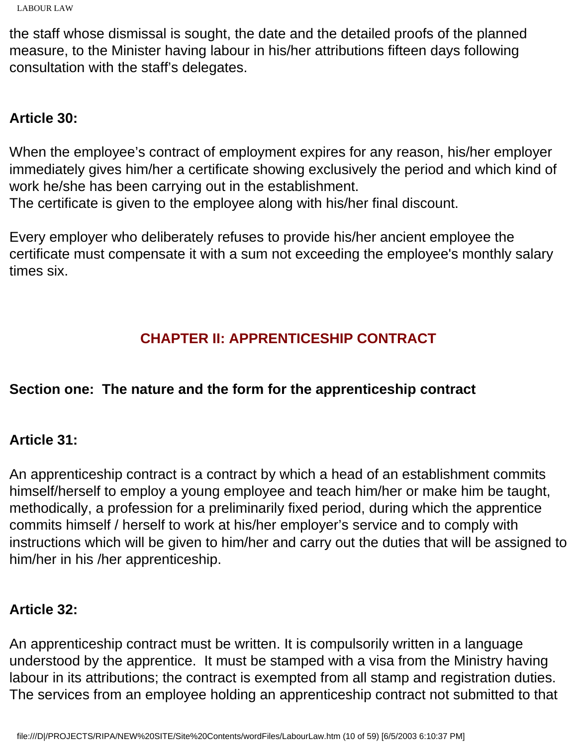the staff whose dismissal is sought, the date and the detailed proofs of the planned measure, to the Minister having labour in his/her attributions fifteen days following consultation with the staff's delegates.

## **Article 30:**

When the employee's contract of employment expires for any reason, his/her employer immediately gives him/her a certificate showing exclusively the period and which kind of work he/she has been carrying out in the establishment.

The certificate is given to the employee along with his/her final discount.

Every employer who deliberately refuses to provide his/her ancient employee the certificate must compensate it with a sum not exceeding the employee's monthly salary times six.

# **CHAPTER II: APPRENTICESHIP CONTRACT**

## **Section one: The nature and the form for the apprenticeship contract**

## **Article 31:**

An apprenticeship contract is a contract by which a head of an establishment commits himself/herself to employ a young employee and teach him/her or make him be taught, methodically, a profession for a preliminarily fixed period, during which the apprentice commits himself / herself to work at his/her employer's service and to comply with instructions which will be given to him/her and carry out the duties that will be assigned to him/her in his /her apprenticeship.

## **Article 32:**

An apprenticeship contract must be written. It is compulsorily written in a language understood by the apprentice. It must be stamped with a visa from the Ministry having labour in its attributions; the contract is exempted from all stamp and registration duties. The services from an employee holding an apprenticeship contract not submitted to that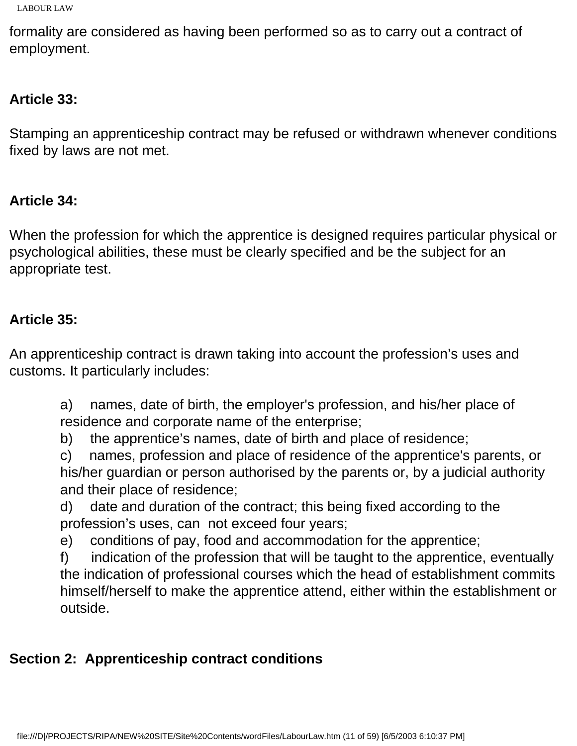```
LABOUR LAW
```
formality are considered as having been performed so as to carry out a contract of employment.

# **Article 33:**

Stamping an apprenticeship contract may be refused or withdrawn whenever conditions fixed by laws are not met.

# **Article 34:**

When the profession for which the apprentice is designed requires particular physical or psychological abilities, these must be clearly specified and be the subject for an appropriate test.

## **Article 35:**

An apprenticeship contract is drawn taking into account the profession's uses and customs. It particularly includes:

a) names, date of birth, the employer's profession, and his/her place of residence and corporate name of the enterprise;

b) the apprentice's names, date of birth and place of residence;

c) names, profession and place of residence of the apprentice's parents, or his/her guardian or person authorised by the parents or, by a judicial authority and their place of residence;

d) date and duration of the contract; this being fixed according to the profession's uses, can not exceed four years;

e) conditions of pay, food and accommodation for the apprentice;

f) indication of the profession that will be taught to the apprentice, eventually the indication of professional courses which the head of establishment commits himself/herself to make the apprentice attend, either within the establishment or outside.

# **Section 2: Apprenticeship contract conditions**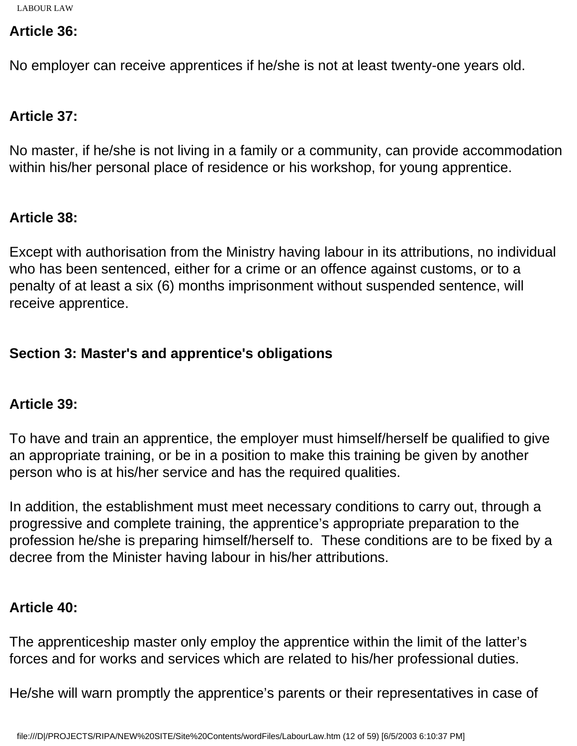### **Article 36:**

No employer can receive apprentices if he/she is not at least twenty-one years old.

## **Article 37:**

No master, if he/she is not living in a family or a community, can provide accommodation within his/her personal place of residence or his workshop, for young apprentice.

## **Article 38:**

Except with authorisation from the Ministry having labour in its attributions, no individual who has been sentenced, either for a crime or an offence against customs, or to a penalty of at least a six (6) months imprisonment without suspended sentence, will receive apprentice.

## **Section 3: Master's and apprentice's obligations**

## **Article 39:**

To have and train an apprentice, the employer must himself/herself be qualified to give an appropriate training, or be in a position to make this training be given by another person who is at his/her service and has the required qualities.

In addition, the establishment must meet necessary conditions to carry out, through a progressive and complete training, the apprentice's appropriate preparation to the profession he/she is preparing himself/herself to. These conditions are to be fixed by a decree from the Minister having labour in his/her attributions.

## **Article 40:**

The apprenticeship master only employ the apprentice within the limit of the latter's forces and for works and services which are related to his/her professional duties.

He/she will warn promptly the apprentice's parents or their representatives in case of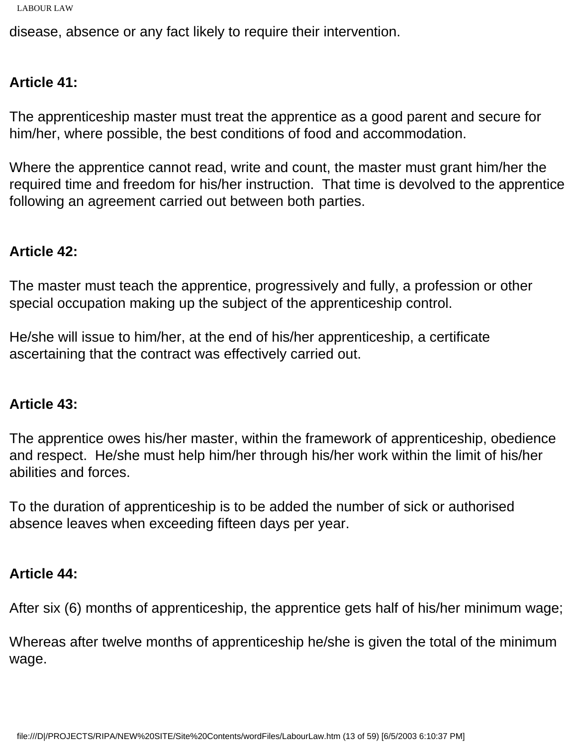```
LABOUR LAW
```
disease, absence or any fact likely to require their intervention.

## **Article 41:**

The apprenticeship master must treat the apprentice as a good parent and secure for him/her, where possible, the best conditions of food and accommodation.

Where the apprentice cannot read, write and count, the master must grant him/her the required time and freedom for his/her instruction. That time is devolved to the apprentice following an agreement carried out between both parties.

### **Article 42:**

The master must teach the apprentice, progressively and fully, a profession or other special occupation making up the subject of the apprenticeship control.

He/she will issue to him/her, at the end of his/her apprenticeship, a certificate ascertaining that the contract was effectively carried out.

#### **Article 43:**

The apprentice owes his/her master, within the framework of apprenticeship, obedience and respect. He/she must help him/her through his/her work within the limit of his/her abilities and forces.

To the duration of apprenticeship is to be added the number of sick or authorised absence leaves when exceeding fifteen days per year.

## **Article 44:**

After six (6) months of apprenticeship, the apprentice gets half of his/her minimum wage;

Whereas after twelve months of apprenticeship he/she is given the total of the minimum wage.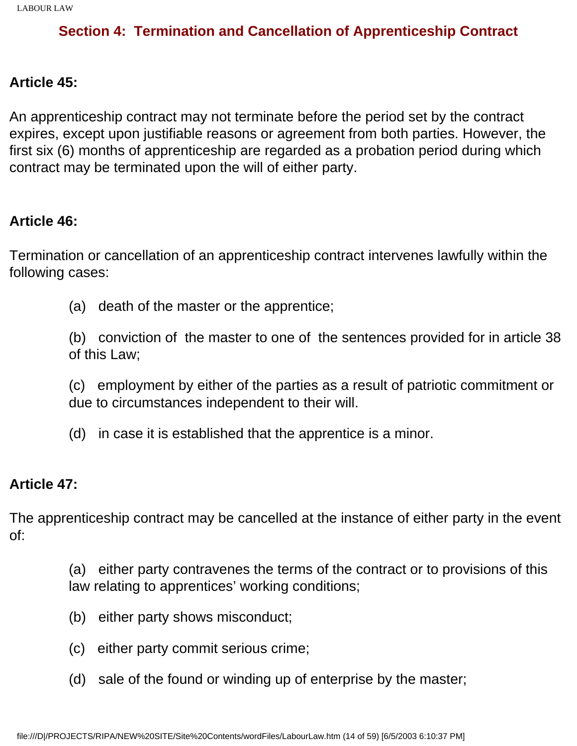## **Section 4: Termination and Cancellation of Apprenticeship Contract**

#### **Article 45:**

An apprenticeship contract may not terminate before the period set by the contract expires, except upon justifiable reasons or agreement from both parties. However, the first six (6) months of apprenticeship are regarded as a probation period during which contract may be terminated upon the will of either party.

#### **Article 46:**

Termination or cancellation of an apprenticeship contract intervenes lawfully within the following cases:

(a) death of the master or the apprentice;

(b) conviction of the master to one of the sentences provided for in article 38 of this Law;

(c) employment by either of the parties as a result of patriotic commitment or due to circumstances independent to their will.

(d) in case it is established that the apprentice is a minor.

#### **Article 47:**

The apprenticeship contract may be cancelled at the instance of either party in the event of:

> (a) either party contravenes the terms of the contract or to provisions of this law relating to apprentices' working conditions;

- (b) either party shows misconduct;
- (c) either party commit serious crime;
- (d) sale of the found or winding up of enterprise by the master;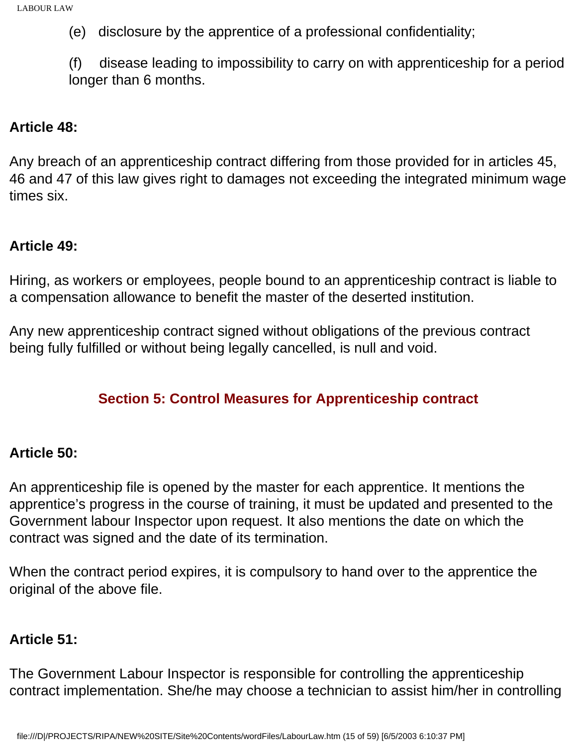(e) disclosure by the apprentice of a professional confidentiality;

(f) disease leading to impossibility to carry on with apprenticeship for a period longer than 6 months.

#### **Article 48:**

Any breach of an apprenticeship contract differing from those provided for in articles 45, 46 and 47 of this law gives right to damages not exceeding the integrated minimum wage times six.

#### **Article 49:**

Hiring, as workers or employees, people bound to an apprenticeship contract is liable to a compensation allowance to benefit the master of the deserted institution.

Any new apprenticeship contract signed without obligations of the previous contract being fully fulfilled or without being legally cancelled, is null and void.

## **Section 5: Control Measures for Apprenticeship contract**

#### **Article 50:**

An apprenticeship file is opened by the master for each apprentice. It mentions the apprentice's progress in the course of training, it must be updated and presented to the Government labour Inspector upon request. It also mentions the date on which the contract was signed and the date of its termination.

When the contract period expires, it is compulsory to hand over to the apprentice the original of the above file.

#### **Article 51:**

The Government Labour Inspector is responsible for controlling the apprenticeship contract implementation. She/he may choose a technician to assist him/her in controlling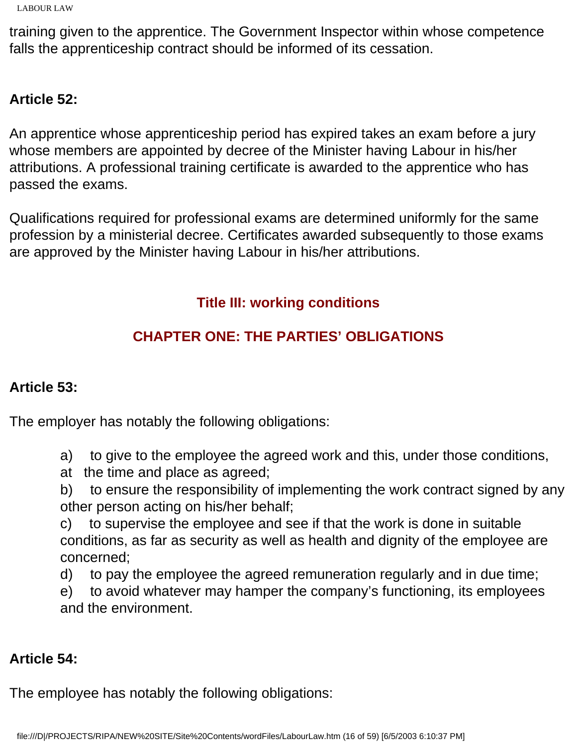training given to the apprentice. The Government Inspector within whose competence falls the apprenticeship contract should be informed of its cessation.

## **Article 52:**

An apprentice whose apprenticeship period has expired takes an exam before a jury whose members are appointed by decree of the Minister having Labour in his/her attributions. A professional training certificate is awarded to the apprentice who has passed the exams.

Qualifications required for professional exams are determined uniformly for the same profession by a ministerial decree. Certificates awarded subsequently to those exams are approved by the Minister having Labour in his/her attributions.

# **Title III: working conditions**

# **CHAPTER ONE: THE PARTIES' OBLIGATIONS**

## **Article 53:**

The employer has notably the following obligations:

a) to give to the employee the agreed work and this, under those conditions,

at the time and place as agreed;

b) to ensure the responsibility of implementing the work contract signed by any other person acting on his/her behalf;

c) to supervise the employee and see if that the work is done in suitable conditions, as far as security as well as health and dignity of the employee are concerned;

d) to pay the employee the agreed remuneration regularly and in due time;

e) to avoid whatever may hamper the company's functioning, its employees and the environment.

## **Article 54:**

The employee has notably the following obligations: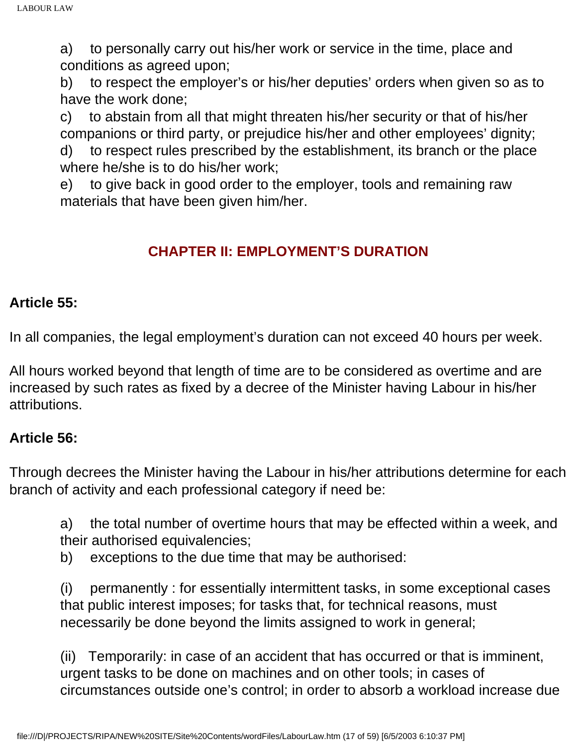a) to personally carry out his/her work or service in the time, place and conditions as agreed upon;

b) to respect the employer's or his/her deputies' orders when given so as to have the work done;

c) to abstain from all that might threaten his/her security or that of his/her companions or third party, or prejudice his/her and other employees' dignity; d) to respect rules prescribed by the establishment, its branch or the place

where he/she is to do his/her work;

e) to give back in good order to the employer, tools and remaining raw materials that have been given him/her.

## **CHAPTER II: EMPLOYMENT'S DURATION**

## **Article 55:**

In all companies, the legal employment's duration can not exceed 40 hours per week.

All hours worked beyond that length of time are to be considered as overtime and are increased by such rates as fixed by a decree of the Minister having Labour in his/her attributions.

## **Article 56:**

Through decrees the Minister having the Labour in his/her attributions determine for each branch of activity and each professional category if need be:

a) the total number of overtime hours that may be effected within a week, and their authorised equivalencies;

b) exceptions to the due time that may be authorised:

(i) permanently : for essentially intermittent tasks, in some exceptional cases that public interest imposes; for tasks that, for technical reasons, must necessarily be done beyond the limits assigned to work in general;

(ii) Temporarily: in case of an accident that has occurred or that is imminent, urgent tasks to be done on machines and on other tools; in cases of circumstances outside one's control; in order to absorb a workload increase due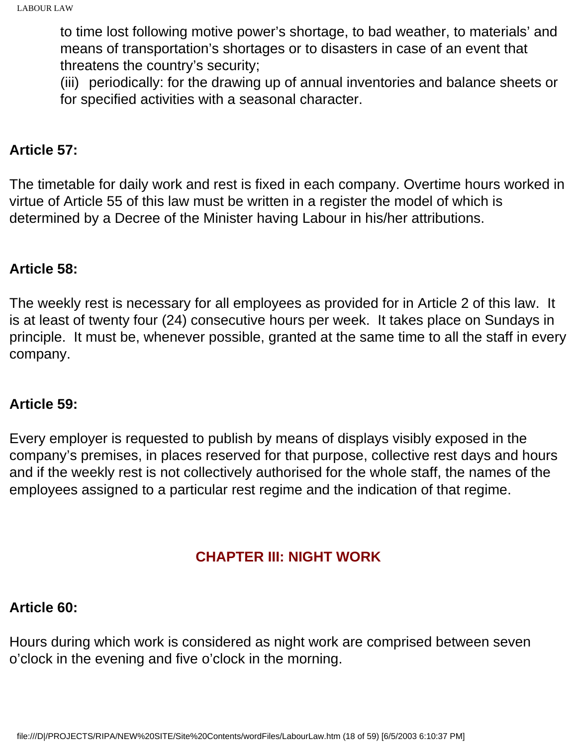to time lost following motive power's shortage, to bad weather, to materials' and means of transportation's shortages or to disasters in case of an event that threatens the country's security;

(iii) periodically: for the drawing up of annual inventories and balance sheets or for specified activities with a seasonal character.

### **Article 57:**

The timetable for daily work and rest is fixed in each company. Overtime hours worked in virtue of Article 55 of this law must be written in a register the model of which is determined by a Decree of the Minister having Labour in his/her attributions.

### **Article 58:**

The weekly rest is necessary for all employees as provided for in Article 2 of this law. It is at least of twenty four (24) consecutive hours per week. It takes place on Sundays in principle. It must be, whenever possible, granted at the same time to all the staff in every company.

#### **Article 59:**

Every employer is requested to publish by means of displays visibly exposed in the company's premises, in places reserved for that purpose, collective rest days and hours and if the weekly rest is not collectively authorised for the whole staff, the names of the employees assigned to a particular rest regime and the indication of that regime.

## **CHAPTER III: NIGHT WORK**

## **Article 60:**

Hours during which work is considered as night work are comprised between seven o'clock in the evening and five o'clock in the morning.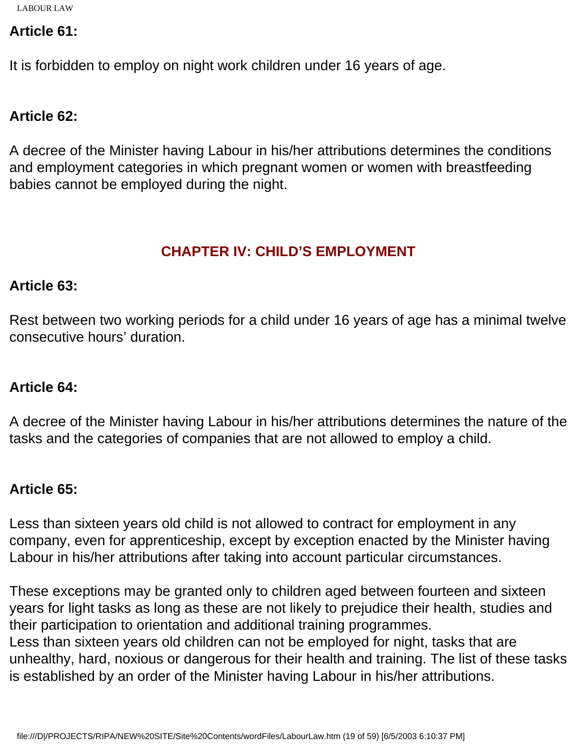### **Article 61:**

It is forbidden to employ on night work children under 16 years of age.

## **Article 62:**

A decree of the Minister having Labour in his/her attributions determines the conditions and employment categories in which pregnant women or women with breastfeeding babies cannot be employed during the night.

## **CHAPTER IV: CHILD'S EMPLOYMENT**

#### **Article 63:**

Rest between two working periods for a child under 16 years of age has a minimal twelve consecutive hours' duration.

## **Article 64:**

A decree of the Minister having Labour in his/her attributions determines the nature of the tasks and the categories of companies that are not allowed to employ a child.

## **Article 65:**

Less than sixteen years old child is not allowed to contract for employment in any company, even for apprenticeship, except by exception enacted by the Minister having Labour in his/her attributions after taking into account particular circumstances.

These exceptions may be granted only to children aged between fourteen and sixteen years for light tasks as long as these are not likely to prejudice their health, studies and their participation to orientation and additional training programmes. Less than sixteen years old children can not be employed for night, tasks that are unhealthy, hard, noxious or dangerous for their health and training. The list of these tasks is established by an order of the Minister having Labour in his/her attributions.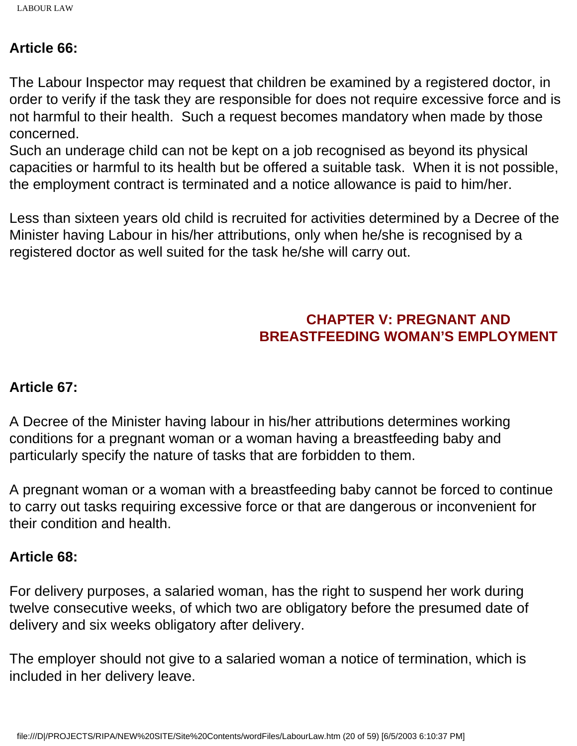#### **Article 66:**

The Labour Inspector may request that children be examined by a registered doctor, in order to verify if the task they are responsible for does not require excessive force and is not harmful to their health. Such a request becomes mandatory when made by those concerned.

Such an underage child can not be kept on a job recognised as beyond its physical capacities or harmful to its health but be offered a suitable task. When it is not possible, the employment contract is terminated and a notice allowance is paid to him/her.

Less than sixteen years old child is recruited for activities determined by a Decree of the Minister having Labour in his/her attributions, only when he/she is recognised by a registered doctor as well suited for the task he/she will carry out.

## **CHAPTER V: PREGNANT AND BREASTFEEDING WOMAN'S EMPLOYMENT**

## **Article 67:**

A Decree of the Minister having labour in his/her attributions determines working conditions for a pregnant woman or a woman having a breastfeeding baby and particularly specify the nature of tasks that are forbidden to them.

A pregnant woman or a woman with a breastfeeding baby cannot be forced to continue to carry out tasks requiring excessive force or that are dangerous or inconvenient for their condition and health.

#### **Article 68:**

For delivery purposes, a salaried woman, has the right to suspend her work during twelve consecutive weeks, of which two are obligatory before the presumed date of delivery and six weeks obligatory after delivery.

The employer should not give to a salaried woman a notice of termination, which is included in her delivery leave.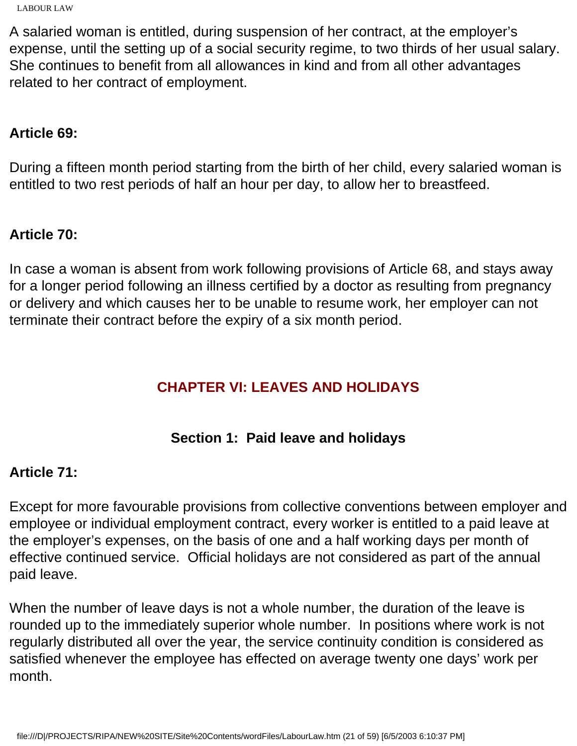A salaried woman is entitled, during suspension of her contract, at the employer's expense, until the setting up of a social security regime, to two thirds of her usual salary. She continues to benefit from all allowances in kind and from all other advantages related to her contract of employment.

### **Article 69:**

During a fifteen month period starting from the birth of her child, every salaried woman is entitled to two rest periods of half an hour per day, to allow her to breastfeed.

## **Article 70:**

In case a woman is absent from work following provisions of Article 68, and stays away for a longer period following an illness certified by a doctor as resulting from pregnancy or delivery and which causes her to be unable to resume work, her employer can not terminate their contract before the expiry of a six month period.

## **CHAPTER VI: LEAVES AND HOLIDAYS**

## **Section 1: Paid leave and holidays**

## **Article 71:**

Except for more favourable provisions from collective conventions between employer and employee or individual employment contract, every worker is entitled to a paid leave at the employer's expenses, on the basis of one and a half working days per month of effective continued service. Official holidays are not considered as part of the annual paid leave.

When the number of leave days is not a whole number, the duration of the leave is rounded up to the immediately superior whole number. In positions where work is not regularly distributed all over the year, the service continuity condition is considered as satisfied whenever the employee has effected on average twenty one days' work per month.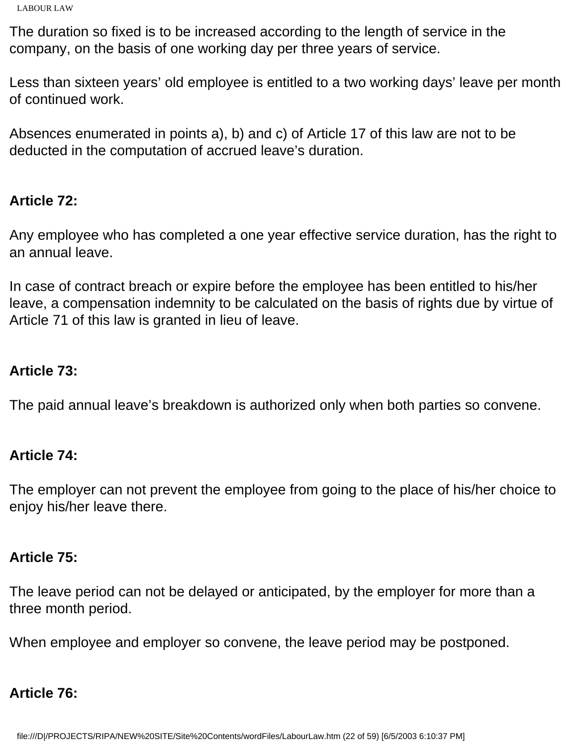The duration so fixed is to be increased according to the length of service in the company, on the basis of one working day per three years of service.

Less than sixteen years' old employee is entitled to a two working days' leave per month of continued work.

Absences enumerated in points a), b) and c) of Article 17 of this law are not to be deducted in the computation of accrued leave's duration.

### **Article 72:**

Any employee who has completed a one year effective service duration, has the right to an annual leave.

In case of contract breach or expire before the employee has been entitled to his/her leave, a compensation indemnity to be calculated on the basis of rights due by virtue of Article 71 of this law is granted in lieu of leave.

### **Article 73:**

The paid annual leave's breakdown is authorized only when both parties so convene.

#### **Article 74:**

The employer can not prevent the employee from going to the place of his/her choice to enjoy his/her leave there.

#### **Article 75:**

The leave period can not be delayed or anticipated, by the employer for more than a three month period.

When employee and employer so convene, the leave period may be postponed.

## **Article 76:**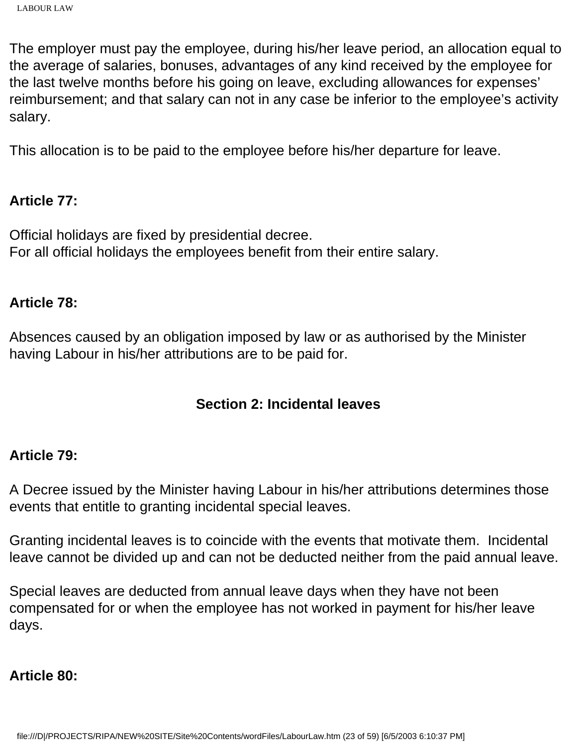The employer must pay the employee, during his/her leave period, an allocation equal to the average of salaries, bonuses, advantages of any kind received by the employee for the last twelve months before his going on leave, excluding allowances for expenses' reimbursement; and that salary can not in any case be inferior to the employee's activity salary.

This allocation is to be paid to the employee before his/her departure for leave.

### **Article 77:**

Official holidays are fixed by presidential decree. For all official holidays the employees benefit from their entire salary.

### **Article 78:**

Absences caused by an obligation imposed by law or as authorised by the Minister having Labour in his/her attributions are to be paid for.

## **Section 2: Incidental leaves**

#### **Article 79:**

A Decree issued by the Minister having Labour in his/her attributions determines those events that entitle to granting incidental special leaves.

Granting incidental leaves is to coincide with the events that motivate them. Incidental leave cannot be divided up and can not be deducted neither from the paid annual leave.

Special leaves are deducted from annual leave days when they have not been compensated for or when the employee has not worked in payment for his/her leave days.

## **Article 80:**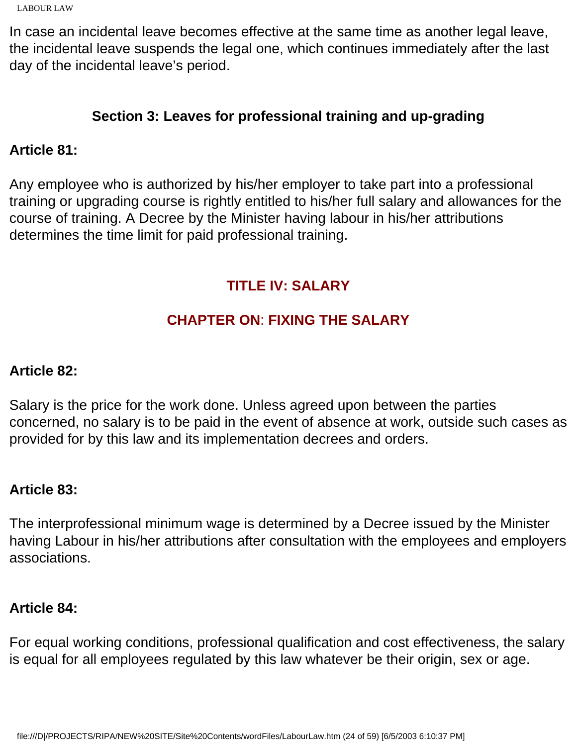```
LABOUR LAW
```
In case an incidental leave becomes effective at the same time as another legal leave, the incidental leave suspends the legal one, which continues immediately after the last day of the incidental leave's period.

# **Section 3: Leaves for professional training and up-grading**

## **Article 81:**

Any employee who is authorized by his/her employer to take part into a professional training or upgrading course is rightly entitled to his/her full salary and allowances for the course of training. A Decree by the Minister having labour in his/her attributions determines the time limit for paid professional training.

# **TITLE IV: SALARY**

# **CHAPTER ON**: **FIXING THE SALARY**

### **Article 82:**

Salary is the price for the work done. Unless agreed upon between the parties concerned, no salary is to be paid in the event of absence at work, outside such cases as provided for by this law and its implementation decrees and orders.

## **Article 83:**

The interprofessional minimum wage is determined by a Decree issued by the Minister having Labour in his/her attributions after consultation with the employees and employers associations.

## **Article 84:**

For equal working conditions, professional qualification and cost effectiveness, the salary is equal for all employees regulated by this law whatever be their origin, sex or age.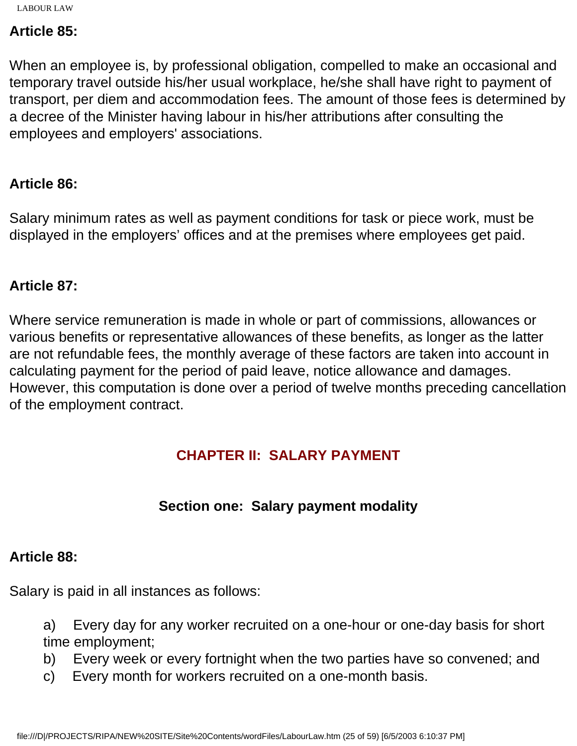### **Article 85:**

When an employee is, by professional obligation, compelled to make an occasional and temporary travel outside his/her usual workplace, he/she shall have right to payment of transport, per diem and accommodation fees. The amount of those fees is determined by a decree of the Minister having labour in his/her attributions after consulting the employees and employers' associations.

#### **Article 86:**

Salary minimum rates as well as payment conditions for task or piece work, must be displayed in the employers' offices and at the premises where employees get paid.

## **Article 87:**

Where service remuneration is made in whole or part of commissions, allowances or various benefits or representative allowances of these benefits, as longer as the latter are not refundable fees, the monthly average of these factors are taken into account in calculating payment for the period of paid leave, notice allowance and damages. However, this computation is done over a period of twelve months preceding cancellation of the employment contract.

## **CHAPTER II: SALARY PAYMENT**

## **Section one: Salary payment modality**

## **Article 88:**

Salary is paid in all instances as follows:

a) Every day for any worker recruited on a one-hour or one-day basis for short time employment;

- b) Every week or every fortnight when the two parties have so convened; and
- c) Every month for workers recruited on a one-month basis.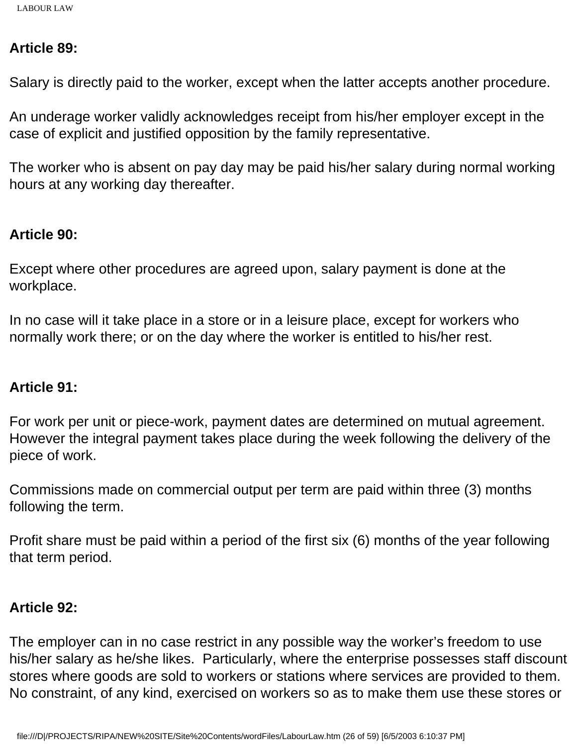### **Article 89:**

Salary is directly paid to the worker, except when the latter accepts another procedure.

An underage worker validly acknowledges receipt from his/her employer except in the case of explicit and justified opposition by the family representative.

The worker who is absent on pay day may be paid his/her salary during normal working hours at any working day thereafter.

### **Article 90:**

Except where other procedures are agreed upon, salary payment is done at the workplace.

In no case will it take place in a store or in a leisure place, except for workers who normally work there; or on the day where the worker is entitled to his/her rest.

## **Article 91:**

For work per unit or piece-work, payment dates are determined on mutual agreement. However the integral payment takes place during the week following the delivery of the piece of work.

Commissions made on commercial output per term are paid within three (3) months following the term.

Profit share must be paid within a period of the first six (6) months of the year following that term period.

## **Article 92:**

The employer can in no case restrict in any possible way the worker's freedom to use his/her salary as he/she likes. Particularly, where the enterprise possesses staff discount stores where goods are sold to workers or stations where services are provided to them. No constraint, of any kind, exercised on workers so as to make them use these stores or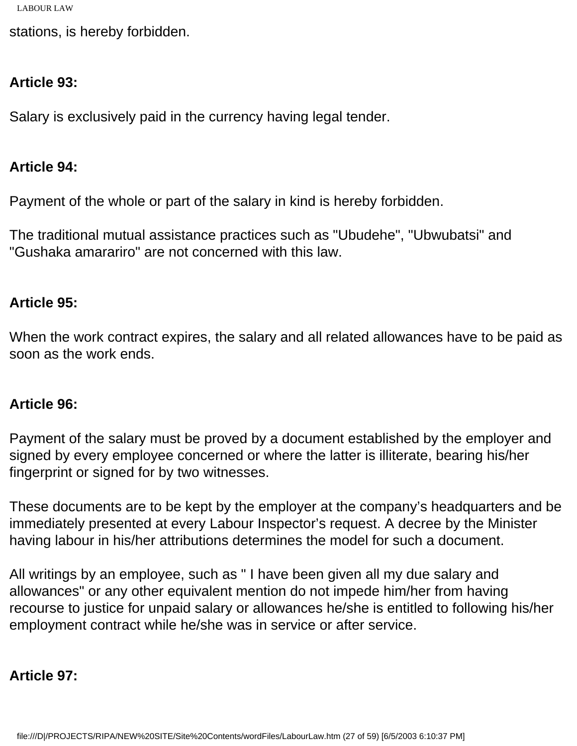stations, is hereby forbidden.

## **Article 93:**

Salary is exclusively paid in the currency having legal tender.

### **Article 94:**

Payment of the whole or part of the salary in kind is hereby forbidden.

The traditional mutual assistance practices such as "Ubudehe", "Ubwubatsi" and "Gushaka amarariro" are not concerned with this law.

## **Article 95:**

When the work contract expires, the salary and all related allowances have to be paid as soon as the work ends.

#### **Article 96:**

Payment of the salary must be proved by a document established by the employer and signed by every employee concerned or where the latter is illiterate, bearing his/her fingerprint or signed for by two witnesses.

These documents are to be kept by the employer at the company's headquarters and be immediately presented at every Labour Inspector's request. A decree by the Minister having labour in his/her attributions determines the model for such a document.

All writings by an employee, such as " I have been given all my due salary and allowances" or any other equivalent mention do not impede him/her from having recourse to justice for unpaid salary or allowances he/she is entitled to following his/her employment contract while he/she was in service or after service.

## **Article 97:**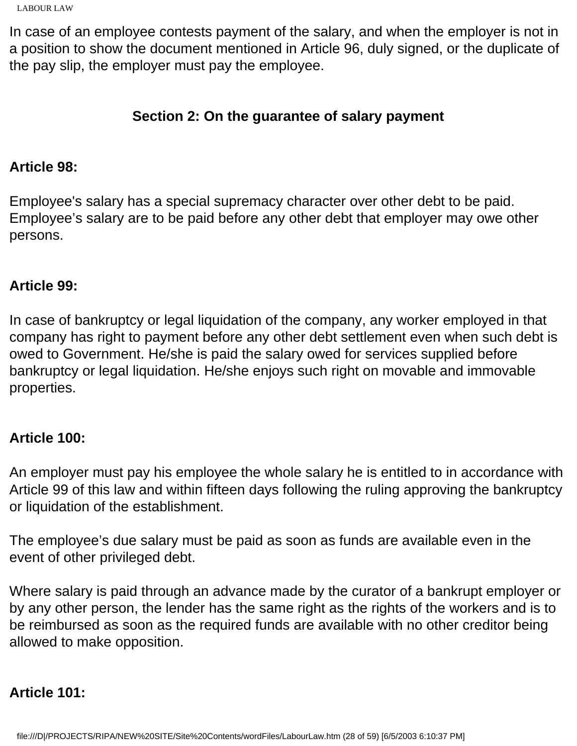```
LABOUR LAW
```
In case of an employee contests payment of the salary, and when the employer is not in a position to show the document mentioned in Article 96, duly signed, or the duplicate of the pay slip, the employer must pay the employee.

## **Section 2: On the guarantee of salary payment**

## **Article 98:**

Employee's salary has a special supremacy character over other debt to be paid. Employee's salary are to be paid before any other debt that employer may owe other persons.

## **Article 99:**

In case of bankruptcy or legal liquidation of the company, any worker employed in that company has right to payment before any other debt settlement even when such debt is owed to Government. He/she is paid the salary owed for services supplied before bankruptcy or legal liquidation. He/she enjoys such right on movable and immovable properties.

## **Article 100:**

An employer must pay his employee the whole salary he is entitled to in accordance with Article 99 of this law and within fifteen days following the ruling approving the bankruptcy or liquidation of the establishment.

The employee's due salary must be paid as soon as funds are available even in the event of other privileged debt.

Where salary is paid through an advance made by the curator of a bankrupt employer or by any other person, the lender has the same right as the rights of the workers and is to be reimbursed as soon as the required funds are available with no other creditor being allowed to make opposition.

# **Article 101:**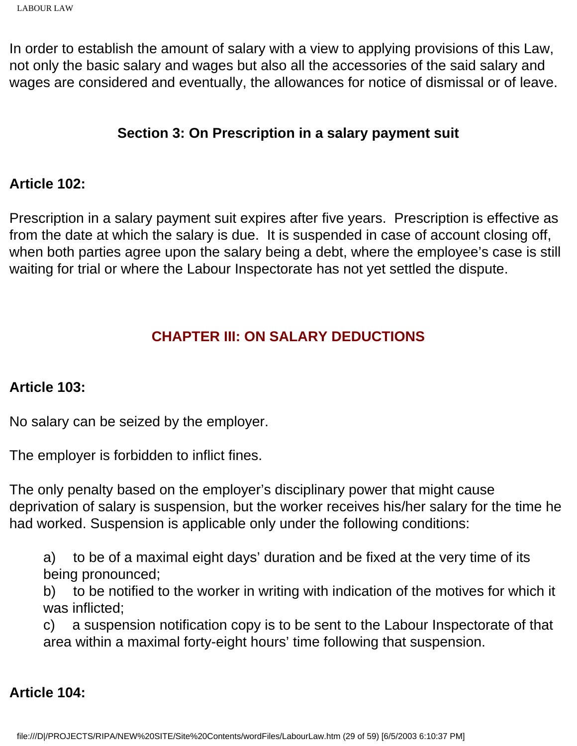In order to establish the amount of salary with a view to applying provisions of this Law, not only the basic salary and wages but also all the accessories of the said salary and wages are considered and eventually, the allowances for notice of dismissal or of leave.

## **Section 3: On Prescription in a salary payment suit**

#### **Article 102:**

Prescription in a salary payment suit expires after five years. Prescription is effective as from the date at which the salary is due. It is suspended in case of account closing off, when both parties agree upon the salary being a debt, where the employee's case is still waiting for trial or where the Labour Inspectorate has not yet settled the dispute.

## **CHAPTER III: ON SALARY DEDUCTIONS**

## **Article 103:**

No salary can be seized by the employer.

The employer is forbidden to inflict fines.

The only penalty based on the employer's disciplinary power that might cause deprivation of salary is suspension, but the worker receives his/her salary for the time he had worked. Suspension is applicable only under the following conditions:

a) to be of a maximal eight days' duration and be fixed at the very time of its being pronounced;

b) to be notified to the worker in writing with indication of the motives for which it was inflicted;

c) a suspension notification copy is to be sent to the Labour Inspectorate of that area within a maximal forty-eight hours' time following that suspension.

## **Article 104:**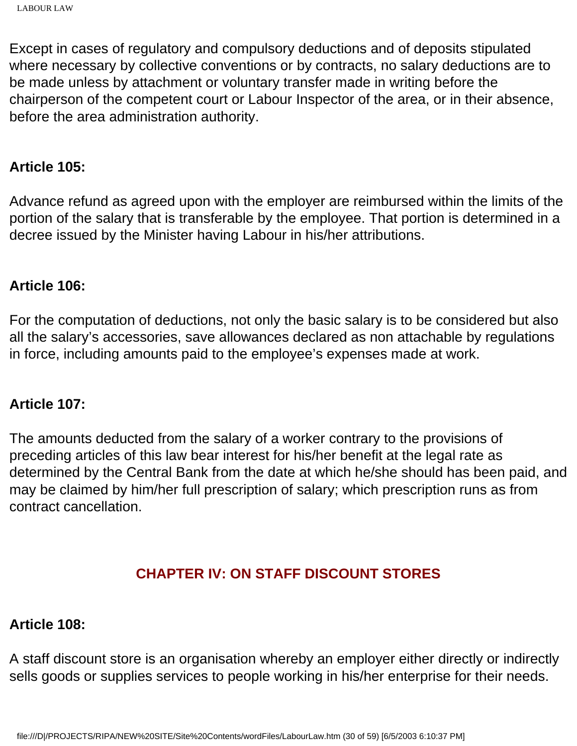Except in cases of regulatory and compulsory deductions and of deposits stipulated where necessary by collective conventions or by contracts, no salary deductions are to be made unless by attachment or voluntary transfer made in writing before the chairperson of the competent court or Labour Inspector of the area, or in their absence, before the area administration authority.

#### **Article 105:**

Advance refund as agreed upon with the employer are reimbursed within the limits of the portion of the salary that is transferable by the employee. That portion is determined in a decree issued by the Minister having Labour in his/her attributions.

#### **Article 106:**

For the computation of deductions, not only the basic salary is to be considered but also all the salary's accessories, save allowances declared as non attachable by regulations in force, including amounts paid to the employee's expenses made at work.

#### **Article 107:**

The amounts deducted from the salary of a worker contrary to the provisions of preceding articles of this law bear interest for his/her benefit at the legal rate as determined by the Central Bank from the date at which he/she should has been paid, and may be claimed by him/her full prescription of salary; which prescription runs as from contract cancellation.

#### **CHAPTER IV: ON STAFF DISCOUNT STORES**

#### **Article 108:**

A staff discount store is an organisation whereby an employer either directly or indirectly sells goods or supplies services to people working in his/her enterprise for their needs.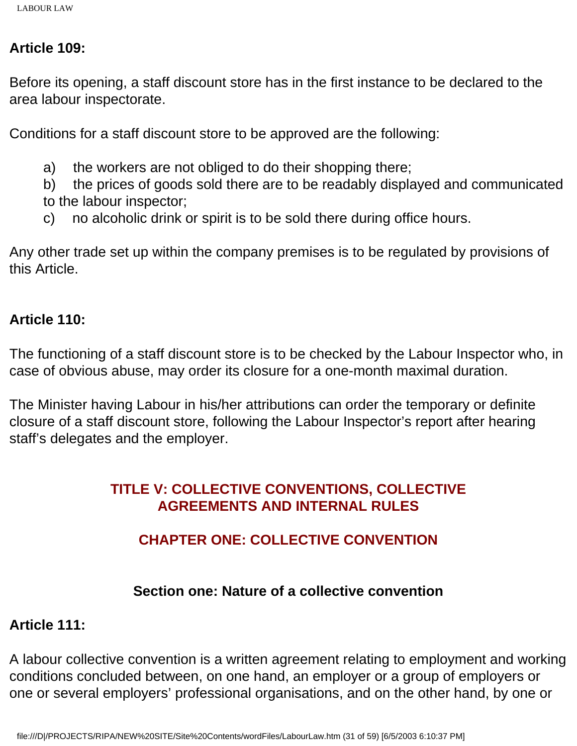#### **Article 109:**

Before its opening, a staff discount store has in the first instance to be declared to the area labour inspectorate.

Conditions for a staff discount store to be approved are the following:

- a) the workers are not obliged to do their shopping there;
- b) the prices of goods sold there are to be readably displayed and communicated to the labour inspector;
- c) no alcoholic drink or spirit is to be sold there during office hours.

Any other trade set up within the company premises is to be regulated by provisions of this Article.

## **Article 110:**

The functioning of a staff discount store is to be checked by the Labour Inspector who, in case of obvious abuse, may order its closure for a one-month maximal duration.

The Minister having Labour in his/her attributions can order the temporary or definite closure of a staff discount store, following the Labour Inspector's report after hearing staff's delegates and the employer.

## **TITLE V: COLLECTIVE CONVENTIONS, COLLECTIVE AGREEMENTS AND INTERNAL RULES**

## **CHAPTER ONE: COLLECTIVE CONVENTION**

## **Section one: Nature of a collective convention**

## **Article 111:**

A labour collective convention is a written agreement relating to employment and working conditions concluded between, on one hand, an employer or a group of employers or one or several employers' professional organisations, and on the other hand, by one or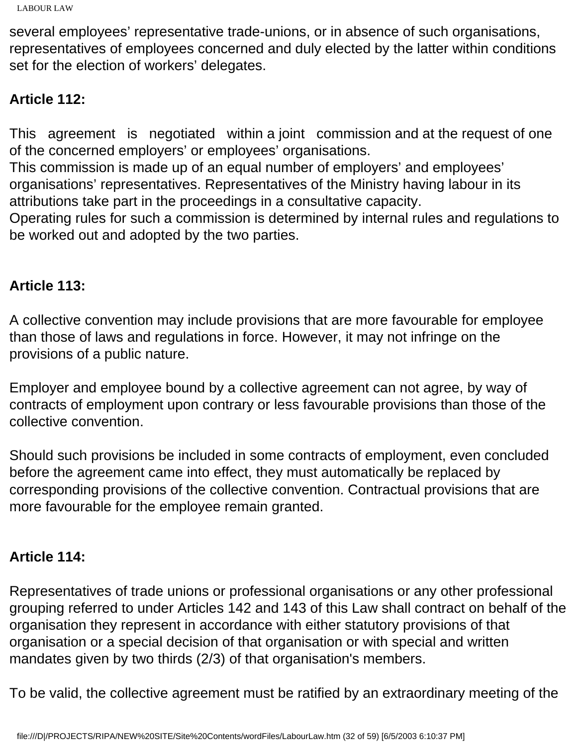several employees' representative trade-unions, or in absence of such organisations, representatives of employees concerned and duly elected by the latter within conditions set for the election of workers' delegates.

## **Article 112:**

This agreement is negotiated within a joint commission and at the request of one of the concerned employers' or employees' organisations.

This commission is made up of an equal number of employers' and employees' organisations' representatives. Representatives of the Ministry having labour in its attributions take part in the proceedings in a consultative capacity.

Operating rules for such a commission is determined by internal rules and regulations to be worked out and adopted by the two parties.

## **Article 113:**

A collective convention may include provisions that are more favourable for employee than those of laws and regulations in force. However, it may not infringe on the provisions of a public nature.

Employer and employee bound by a collective agreement can not agree, by way of contracts of employment upon contrary or less favourable provisions than those of the collective convention.

Should such provisions be included in some contracts of employment, even concluded before the agreement came into effect, they must automatically be replaced by corresponding provisions of the collective convention. Contractual provisions that are more favourable for the employee remain granted.

## **Article 114:**

Representatives of trade unions or professional organisations or any other professional grouping referred to under Articles 142 and 143 of this Law shall contract on behalf of the organisation they represent in accordance with either statutory provisions of that organisation or a special decision of that organisation or with special and written mandates given by two thirds (2/3) of that organisation's members.

To be valid, the collective agreement must be ratified by an extraordinary meeting of the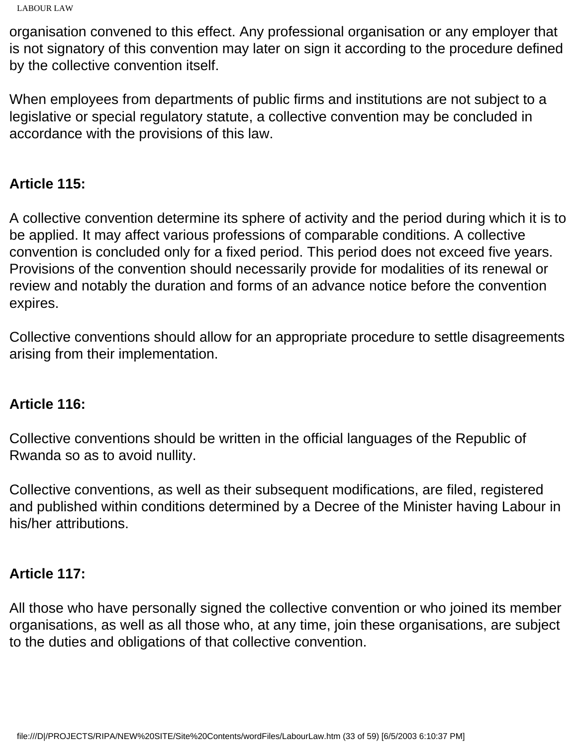```
LABOUR LAW
```
organisation convened to this effect. Any professional organisation or any employer that is not signatory of this convention may later on sign it according to the procedure defined by the collective convention itself.

When employees from departments of public firms and institutions are not subject to a legislative or special regulatory statute, a collective convention may be concluded in accordance with the provisions of this law.

# **Article 115:**

A collective convention determine its sphere of activity and the period during which it is to be applied. It may affect various professions of comparable conditions. A collective convention is concluded only for a fixed period. This period does not exceed five years. Provisions of the convention should necessarily provide for modalities of its renewal or review and notably the duration and forms of an advance notice before the convention expires.

Collective conventions should allow for an appropriate procedure to settle disagreements arising from their implementation.

# **Article 116:**

Collective conventions should be written in the official languages of the Republic of Rwanda so as to avoid nullity.

Collective conventions, as well as their subsequent modifications, are filed, registered and published within conditions determined by a Decree of the Minister having Labour in his/her attributions.

# **Article 117:**

All those who have personally signed the collective convention or who joined its member organisations, as well as all those who, at any time, join these organisations, are subject to the duties and obligations of that collective convention.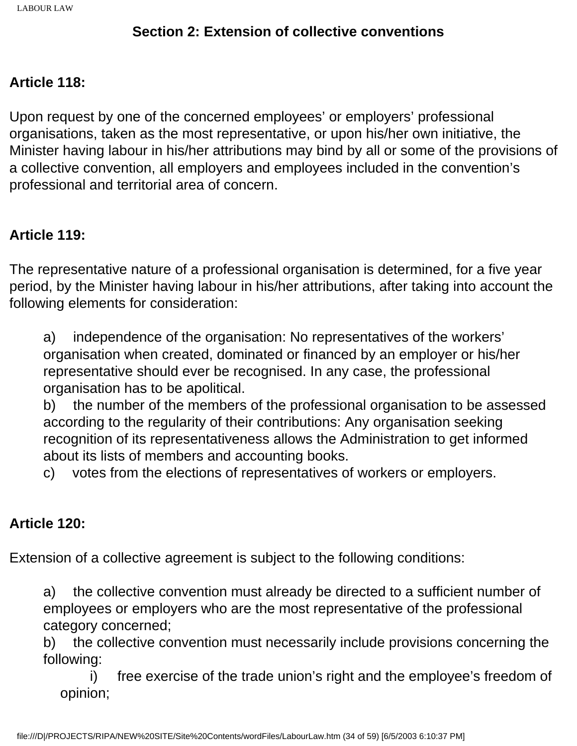## **Section 2: Extension of collective conventions**

#### **Article 118:**

Upon request by one of the concerned employees' or employers' professional organisations, taken as the most representative, or upon his/her own initiative, the Minister having labour in his/her attributions may bind by all or some of the provisions of a collective convention, all employers and employees included in the convention's professional and territorial area of concern.

## **Article 119:**

The representative nature of a professional organisation is determined, for a five year period, by the Minister having labour in his/her attributions, after taking into account the following elements for consideration:

a) independence of the organisation: No representatives of the workers' organisation when created, dominated or financed by an employer or his/her representative should ever be recognised. In any case, the professional organisation has to be apolitical.

b) the number of the members of the professional organisation to be assessed according to the regularity of their contributions: Any organisation seeking recognition of its representativeness allows the Administration to get informed about its lists of members and accounting books.

c) votes from the elections of representatives of workers or employers.

## **Article 120:**

Extension of a collective agreement is subject to the following conditions:

a) the collective convention must already be directed to a sufficient number of employees or employers who are the most representative of the professional category concerned;

b) the collective convention must necessarily include provisions concerning the following:

 i) free exercise of the trade union's right and the employee's freedom of opinion;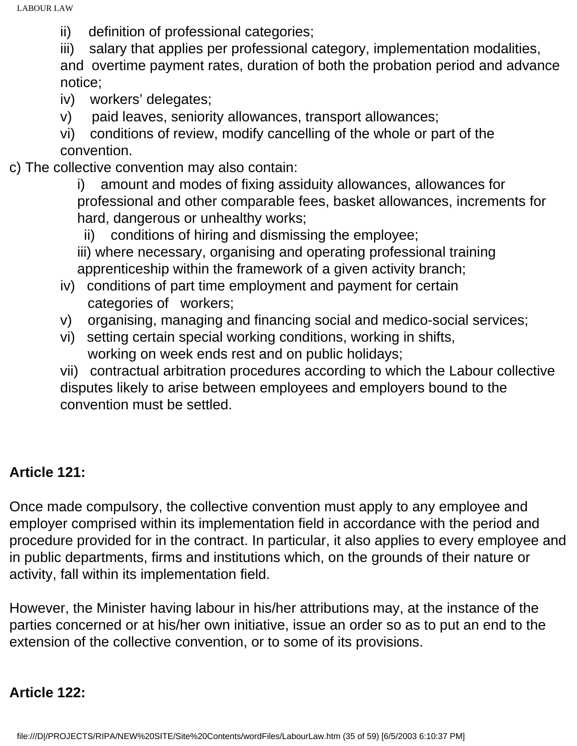ii) definition of professional categories;

iii) salary that applies per professional category, implementation modalities, and overtime payment rates, duration of both the probation period and advance notice;

- iv) workers' delegates;
- v) paid leaves, seniority allowances, transport allowances;
- vi) conditions of review, modify cancelling of the whole or part of the convention.
- c) The collective convention may also contain:
	- i) amount and modes of fixing assiduity allowances, allowances for professional and other comparable fees, basket allowances, increments for hard, dangerous or unhealthy works;
	- ii) conditions of hiring and dismissing the employee;
	- iii) where necessary, organising and operating professional training apprenticeship within the framework of a given activity branch;
	- iv) conditions of part time employment and payment for certain categories of workers;
	- v) organising, managing and financing social and medico-social services;
	- vi) setting certain special working conditions, working in shifts, working on week ends rest and on public holidays;
	- vii) contractual arbitration procedures according to which the Labour collective disputes likely to arise between employees and employers bound to the convention must be settled.

## **Article 121:**

Once made compulsory, the collective convention must apply to any employee and employer comprised within its implementation field in accordance with the period and procedure provided for in the contract. In particular, it also applies to every employee and in public departments, firms and institutions which, on the grounds of their nature or activity, fall within its implementation field.

However, the Minister having labour in his/her attributions may, at the instance of the parties concerned or at his/her own initiative, issue an order so as to put an end to the extension of the collective convention, or to some of its provisions.

## **Article 122:**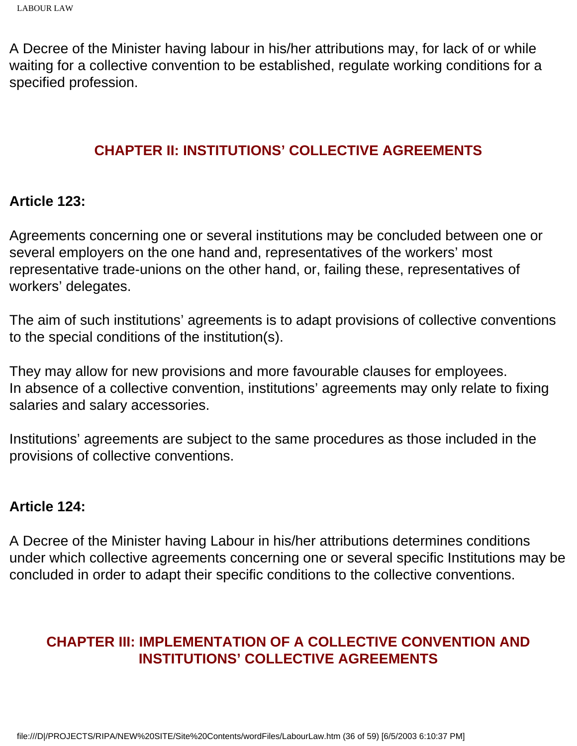A Decree of the Minister having labour in his/her attributions may, for lack of or while waiting for a collective convention to be established, regulate working conditions for a specified profession.

### **CHAPTER II: INSTITUTIONS' COLLECTIVE AGREEMENTS**

#### **Article 123:**

Agreements concerning one or several institutions may be concluded between one or several employers on the one hand and, representatives of the workers' most representative trade-unions on the other hand, or, failing these, representatives of workers' delegates.

The aim of such institutions' agreements is to adapt provisions of collective conventions to the special conditions of the institution(s).

They may allow for new provisions and more favourable clauses for employees. In absence of a collective convention, institutions' agreements may only relate to fixing salaries and salary accessories.

Institutions' agreements are subject to the same procedures as those included in the provisions of collective conventions.

#### **Article 124:**

A Decree of the Minister having Labour in his/her attributions determines conditions under which collective agreements concerning one or several specific Institutions may be concluded in order to adapt their specific conditions to the collective conventions.

## **CHAPTER III: IMPLEMENTATION OF A COLLECTIVE CONVENTION AND INSTITUTIONS' COLLECTIVE AGREEMENTS**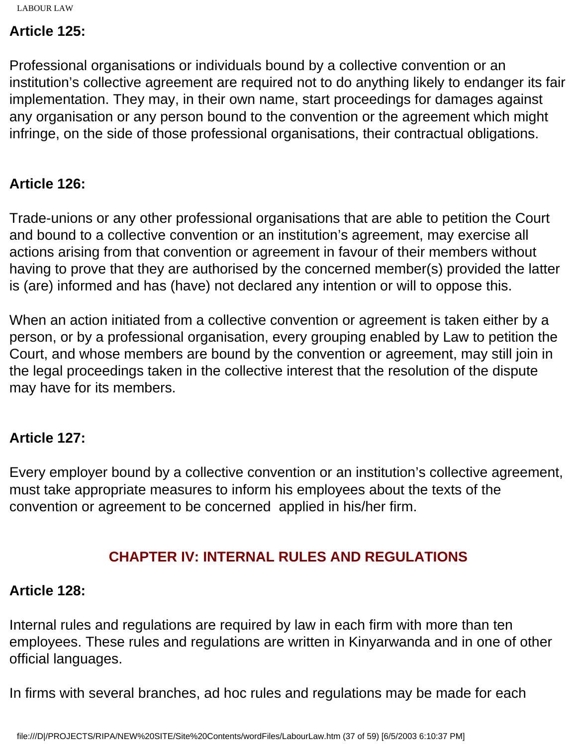## **Article 125:**

Professional organisations or individuals bound by a collective convention or an institution's collective agreement are required not to do anything likely to endanger its fair implementation. They may, in their own name, start proceedings for damages against any organisation or any person bound to the convention or the agreement which might infringe, on the side of those professional organisations, their contractual obligations.

## **Article 126:**

Trade-unions or any other professional organisations that are able to petition the Court and bound to a collective convention or an institution's agreement, may exercise all actions arising from that convention or agreement in favour of their members without having to prove that they are authorised by the concerned member(s) provided the latter is (are) informed and has (have) not declared any intention or will to oppose this.

When an action initiated from a collective convention or agreement is taken either by a person, or by a professional organisation, every grouping enabled by Law to petition the Court, and whose members are bound by the convention or agreement, may still join in the legal proceedings taken in the collective interest that the resolution of the dispute may have for its members.

## **Article 127:**

Every employer bound by a collective convention or an institution's collective agreement, must take appropriate measures to inform his employees about the texts of the convention or agreement to be concerned applied in his/her firm.

## **CHAPTER IV: INTERNAL RULES AND REGULATIONS**

#### **Article 128:**

Internal rules and regulations are required by law in each firm with more than ten employees. These rules and regulations are written in Kinyarwanda and in one of other official languages.

In firms with several branches, ad hoc rules and regulations may be made for each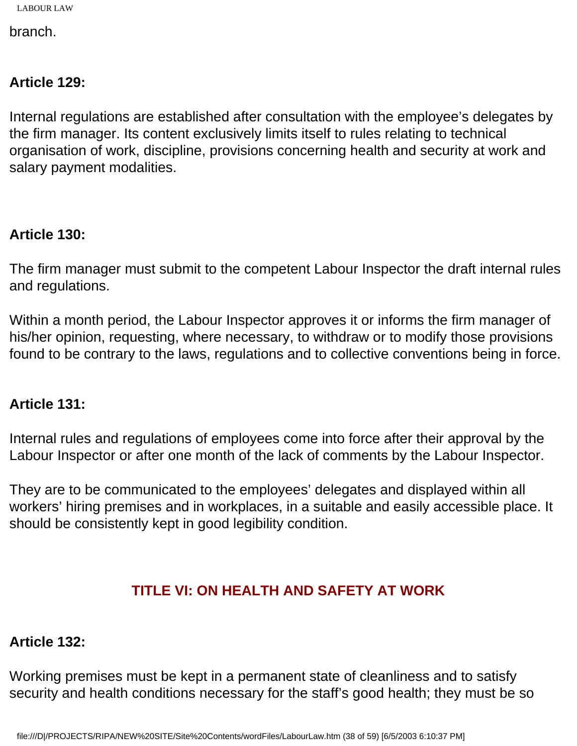branch.

## **Article 129:**

Internal regulations are established after consultation with the employee's delegates by the firm manager. Its content exclusively limits itself to rules relating to technical organisation of work, discipline, provisions concerning health and security at work and salary payment modalities.

## **Article 130:**

The firm manager must submit to the competent Labour Inspector the draft internal rules and regulations.

Within a month period, the Labour Inspector approves it or informs the firm manager of his/her opinion, requesting, where necessary, to withdraw or to modify those provisions found to be contrary to the laws, regulations and to collective conventions being in force.

## **Article 131:**

Internal rules and regulations of employees come into force after their approval by the Labour Inspector or after one month of the lack of comments by the Labour Inspector.

They are to be communicated to the employees' delegates and displayed within all workers' hiring premises and in workplaces, in a suitable and easily accessible place. It should be consistently kept in good legibility condition.

## **TITLE VI: ON HEALTH AND SAFETY AT WORK**

## **Article 132:**

Working premises must be kept in a permanent state of cleanliness and to satisfy security and health conditions necessary for the staff's good health; they must be so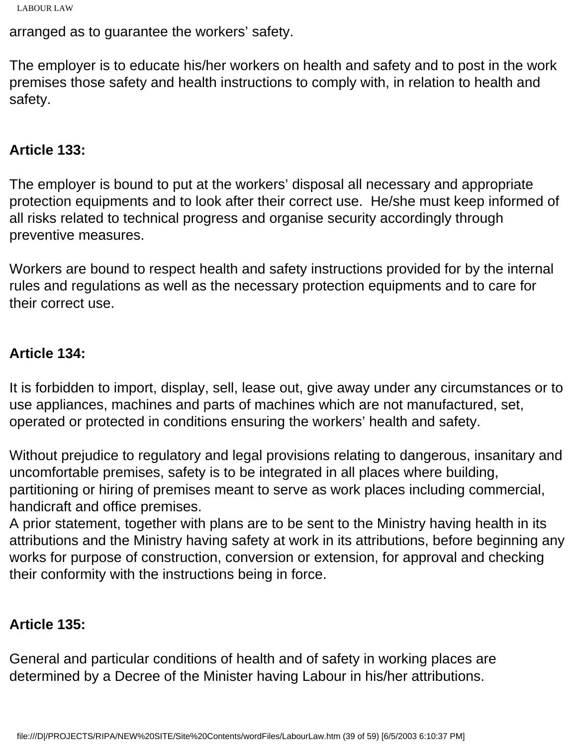```
LABOUR LAW
```
arranged as to guarantee the workers' safety.

The employer is to educate his/her workers on health and safety and to post in the work premises those safety and health instructions to comply with, in relation to health and safety.

### **Article 133:**

The employer is bound to put at the workers' disposal all necessary and appropriate protection equipments and to look after their correct use. He/she must keep informed of all risks related to technical progress and organise security accordingly through preventive measures.

Workers are bound to respect health and safety instructions provided for by the internal rules and regulations as well as the necessary protection equipments and to care for their correct use.

## **Article 134:**

It is forbidden to import, display, sell, lease out, give away under any circumstances or to use appliances, machines and parts of machines which are not manufactured, set, operated or protected in conditions ensuring the workers' health and safety.

Without prejudice to regulatory and legal provisions relating to dangerous, insanitary and uncomfortable premises, safety is to be integrated in all places where building, partitioning or hiring of premises meant to serve as work places including commercial, handicraft and office premises.

A prior statement, together with plans are to be sent to the Ministry having health in its attributions and the Ministry having safety at work in its attributions, before beginning any works for purpose of construction, conversion or extension, for approval and checking their conformity with the instructions being in force.

## **Article 135:**

General and particular conditions of health and of safety in working places are determined by a Decree of the Minister having Labour in his/her attributions.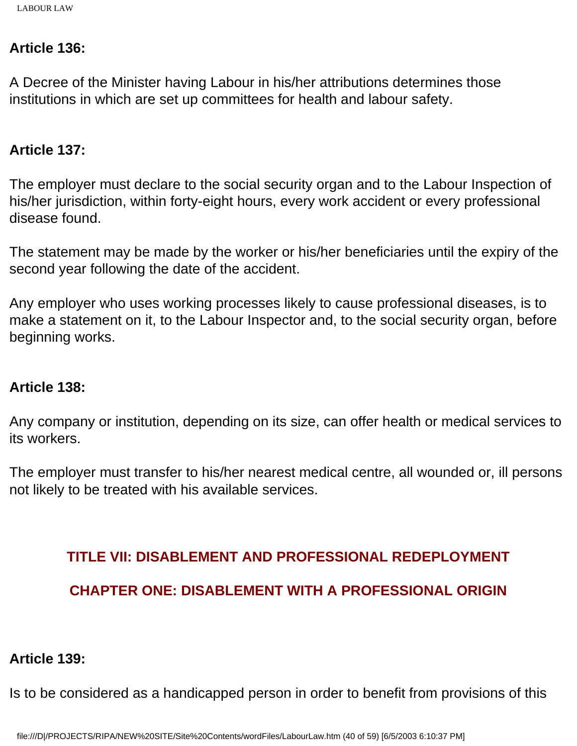#### **Article 136:**

A Decree of the Minister having Labour in his/her attributions determines those institutions in which are set up committees for health and labour safety.

#### **Article 137:**

The employer must declare to the social security organ and to the Labour Inspection of his/her jurisdiction, within forty-eight hours, every work accident or every professional disease found.

The statement may be made by the worker or his/her beneficiaries until the expiry of the second year following the date of the accident.

Any employer who uses working processes likely to cause professional diseases, is to make a statement on it, to the Labour Inspector and, to the social security organ, before beginning works.

#### **Article 138:**

Any company or institution, depending on its size, can offer health or medical services to its workers.

The employer must transfer to his/her nearest medical centre, all wounded or, ill persons not likely to be treated with his available services.

#### **TITLE VII: DISABLEMENT AND PROFESSIONAL REDEPLOYMENT**

## **CHAPTER ONE: DISABLEMENT WITH A PROFESSIONAL ORIGIN**

#### **Article 139:**

Is to be considered as a handicapped person in order to benefit from provisions of this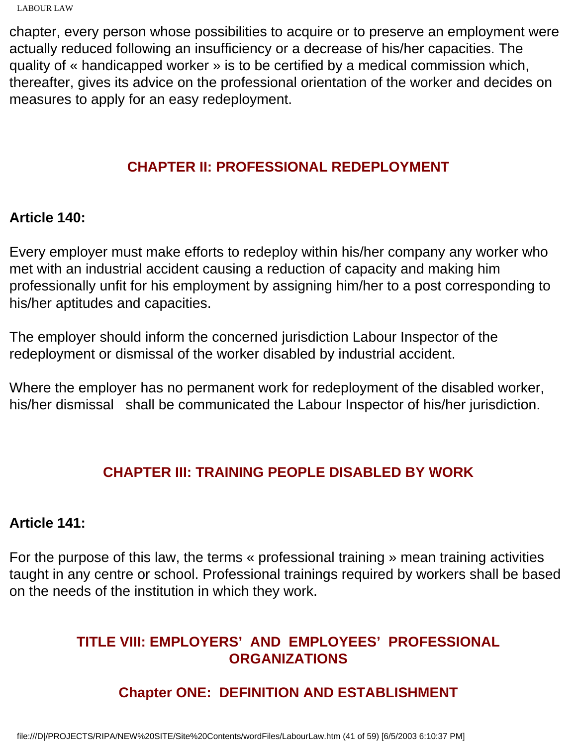chapter, every person whose possibilities to acquire or to preserve an employment were actually reduced following an insufficiency or a decrease of his/her capacities. The quality of « handicapped worker » is to be certified by a medical commission which, thereafter, gives its advice on the professional orientation of the worker and decides on measures to apply for an easy redeployment.

## **CHAPTER II: PROFESSIONAL REDEPLOYMENT**

### **Article 140:**

Every employer must make efforts to redeploy within his/her company any worker who met with an industrial accident causing a reduction of capacity and making him professionally unfit for his employment by assigning him/her to a post corresponding to his/her aptitudes and capacities.

The employer should inform the concerned jurisdiction Labour Inspector of the redeployment or dismissal of the worker disabled by industrial accident.

Where the employer has no permanent work for redeployment of the disabled worker, his/her dismissal shall be communicated the Labour Inspector of his/her jurisdiction.

## **CHAPTER III: TRAINING PEOPLE DISABLED BY WORK**

#### **Article 141:**

For the purpose of this law, the terms « professional training » mean training activities taught in any centre or school. Professional trainings required by workers shall be based on the needs of the institution in which they work.

## **TITLE VIII: EMPLOYERS' AND EMPLOYEES' PROFESSIONAL ORGANIZATIONS**

# **Chapter ONE: DEFINITION AND ESTABLISHMENT**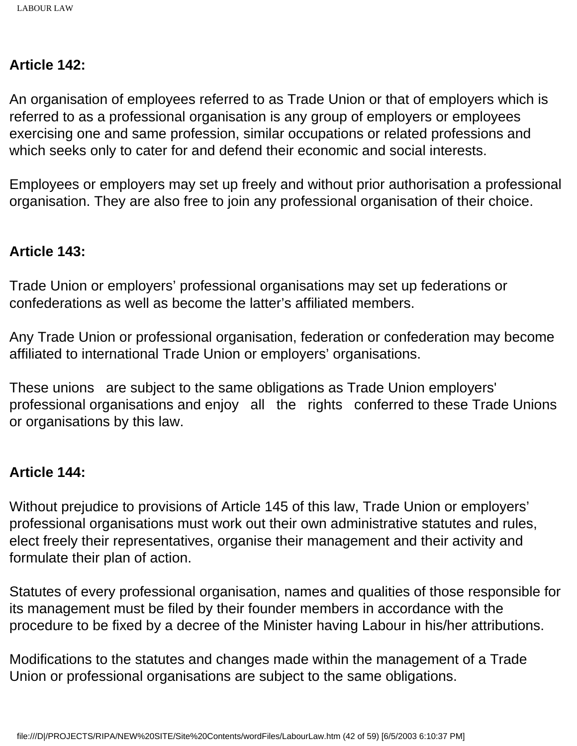### **Article 142:**

An organisation of employees referred to as Trade Union or that of employers which is referred to as a professional organisation is any group of employers or employees exercising one and same profession, similar occupations or related professions and which seeks only to cater for and defend their economic and social interests.

Employees or employers may set up freely and without prior authorisation a professional organisation. They are also free to join any professional organisation of their choice.

#### **Article 143:**

Trade Union or employers' professional organisations may set up federations or confederations as well as become the latter's affiliated members.

Any Trade Union or professional organisation, federation or confederation may become affiliated to international Trade Union or employers' organisations.

These unions are subject to the same obligations as Trade Union employers' professional organisations and enjoy all the rights conferred to these Trade Unions or organisations by this law.

#### **Article 144:**

Without prejudice to provisions of Article 145 of this law, Trade Union or employers' professional organisations must work out their own administrative statutes and rules, elect freely their representatives, organise their management and their activity and formulate their plan of action.

Statutes of every professional organisation, names and qualities of those responsible for its management must be filed by their founder members in accordance with the procedure to be fixed by a decree of the Minister having Labour in his/her attributions.

Modifications to the statutes and changes made within the management of a Trade Union or professional organisations are subject to the same obligations.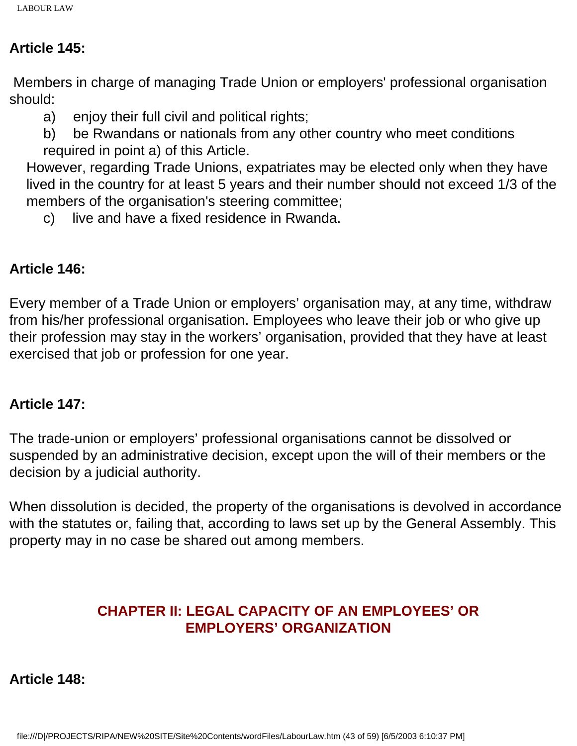## **Article 145:**

 Members in charge of managing Trade Union or employers' professional organisation should:

- a) enjoy their full civil and political rights;
- b) be Rwandans or nationals from any other country who meet conditions required in point a) of this Article.

However, regarding Trade Unions, expatriates may be elected only when they have lived in the country for at least 5 years and their number should not exceed 1/3 of the members of the organisation's steering committee;

c) live and have a fixed residence in Rwanda.

## **Article 146:**

Every member of a Trade Union or employers' organisation may, at any time, withdraw from his/her professional organisation. Employees who leave their job or who give up their profession may stay in the workers' organisation, provided that they have at least exercised that job or profession for one year.

## **Article 147:**

The trade-union or employers' professional organisations cannot be dissolved or suspended by an administrative decision, except upon the will of their members or the decision by a judicial authority.

When dissolution is decided, the property of the organisations is devolved in accordance with the statutes or, failing that, according to laws set up by the General Assembly. This property may in no case be shared out among members.

## **CHAPTER II: LEGAL CAPACITY OF AN EMPLOYEES' OR EMPLOYERS' ORGANIZATION**

**Article 148:**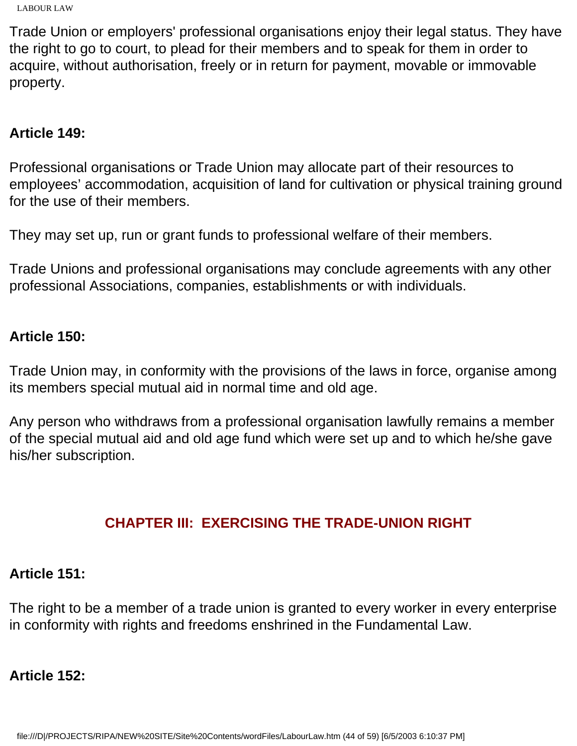```
LABOUR LAW
```
Trade Union or employers' professional organisations enjoy their legal status. They have the right to go to court, to plead for their members and to speak for them in order to acquire, without authorisation, freely or in return for payment, movable or immovable property.

## **Article 149:**

Professional organisations or Trade Union may allocate part of their resources to employees' accommodation, acquisition of land for cultivation or physical training ground for the use of their members.

They may set up, run or grant funds to professional welfare of their members.

Trade Unions and professional organisations may conclude agreements with any other professional Associations, companies, establishments or with individuals.

## **Article 150:**

Trade Union may, in conformity with the provisions of the laws in force, organise among its members special mutual aid in normal time and old age.

Any person who withdraws from a professional organisation lawfully remains a member of the special mutual aid and old age fund which were set up and to which he/she gave his/her subscription.

# **CHAPTER III: EXERCISING THE TRADE-UNION RIGHT**

## **Article 151:**

The right to be a member of a trade union is granted to every worker in every enterprise in conformity with rights and freedoms enshrined in the Fundamental Law.

# **Article 152:**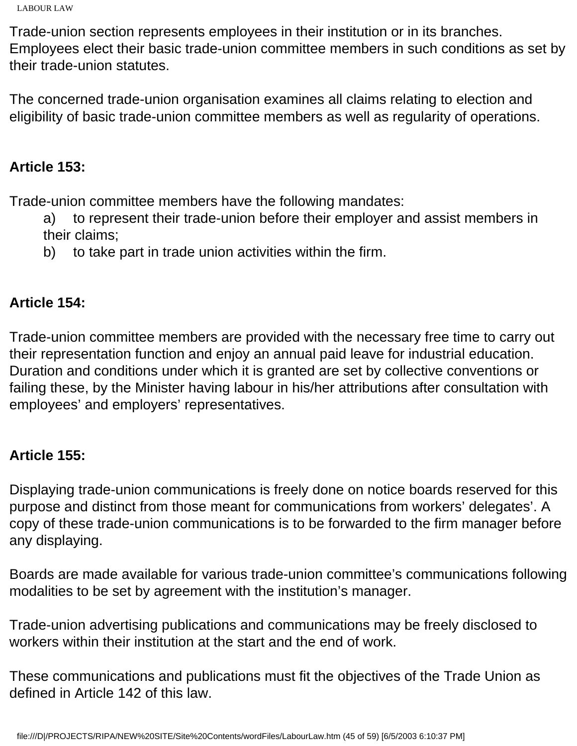```
LABOUR LAW
```
Trade-union section represents employees in their institution or in its branches. Employees elect their basic trade-union committee members in such conditions as set by their trade-union statutes.

The concerned trade-union organisation examines all claims relating to election and eligibility of basic trade-union committee members as well as regularity of operations.

## **Article 153:**

Trade-union committee members have the following mandates:

a) to represent their trade-union before their employer and assist members in their claims;

b) to take part in trade union activities within the firm.

## **Article 154:**

Trade-union committee members are provided with the necessary free time to carry out their representation function and enjoy an annual paid leave for industrial education. Duration and conditions under which it is granted are set by collective conventions or failing these, by the Minister having labour in his/her attributions after consultation with employees' and employers' representatives.

## **Article 155:**

Displaying trade-union communications is freely done on notice boards reserved for this purpose and distinct from those meant for communications from workers' delegates'. A copy of these trade-union communications is to be forwarded to the firm manager before any displaying.

Boards are made available for various trade-union committee's communications following modalities to be set by agreement with the institution's manager.

Trade-union advertising publications and communications may be freely disclosed to workers within their institution at the start and the end of work.

These communications and publications must fit the objectives of the Trade Union as defined in Article 142 of this law.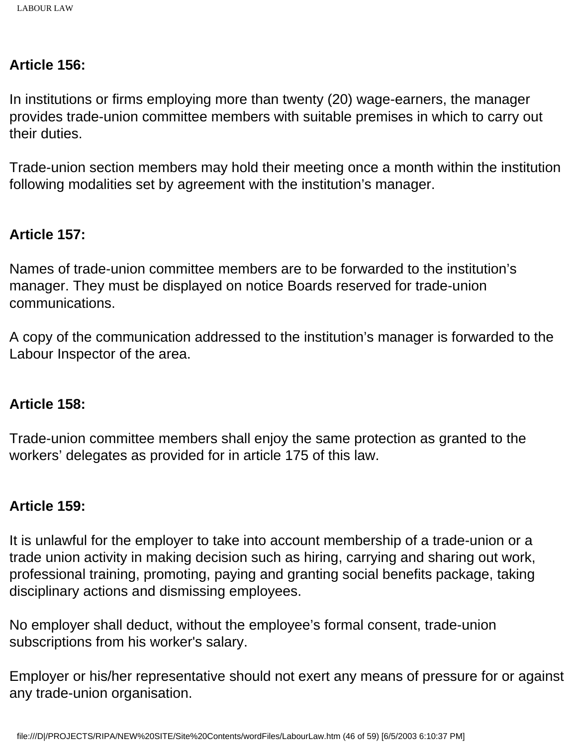### **Article 156:**

In institutions or firms employing more than twenty (20) wage-earners, the manager provides trade-union committee members with suitable premises in which to carry out their duties.

Trade-union section members may hold their meeting once a month within the institution following modalities set by agreement with the institution's manager.

## **Article 157:**

Names of trade-union committee members are to be forwarded to the institution's manager. They must be displayed on notice Boards reserved for trade-union communications.

A copy of the communication addressed to the institution's manager is forwarded to the Labour Inspector of the area.

#### **Article 158:**

Trade-union committee members shall enjoy the same protection as granted to the workers' delegates as provided for in article 175 of this law.

## **Article 159:**

It is unlawful for the employer to take into account membership of a trade-union or a trade union activity in making decision such as hiring, carrying and sharing out work, professional training, promoting, paying and granting social benefits package, taking disciplinary actions and dismissing employees.

No employer shall deduct, without the employee's formal consent, trade-union subscriptions from his worker's salary.

Employer or his/her representative should not exert any means of pressure for or against any trade-union organisation.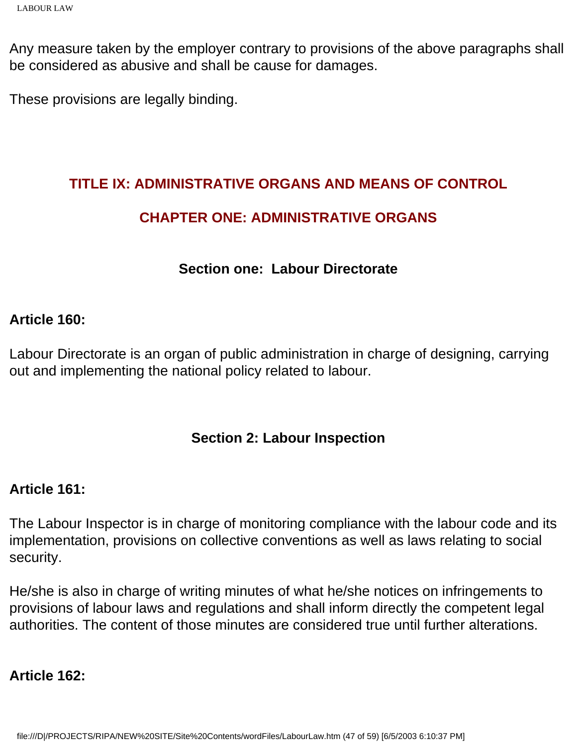Any measure taken by the employer contrary to provisions of the above paragraphs shall be considered as abusive and shall be cause for damages.

These provisions are legally binding.

## **TITLE IX: ADMINISTRATIVE ORGANS AND MEANS OF CONTROL**

## **CHAPTER ONE: ADMINISTRATIVE ORGANS**

## **Section one: Labour Directorate**

## **Article 160:**

Labour Directorate is an organ of public administration in charge of designing, carrying out and implementing the national policy related to labour.

## **Section 2: Labour Inspection**

## **Article 161:**

The Labour Inspector is in charge of monitoring compliance with the labour code and its implementation, provisions on collective conventions as well as laws relating to social security.

He/she is also in charge of writing minutes of what he/she notices on infringements to provisions of labour laws and regulations and shall inform directly the competent legal authorities. The content of those minutes are considered true until further alterations.

## **Article 162:**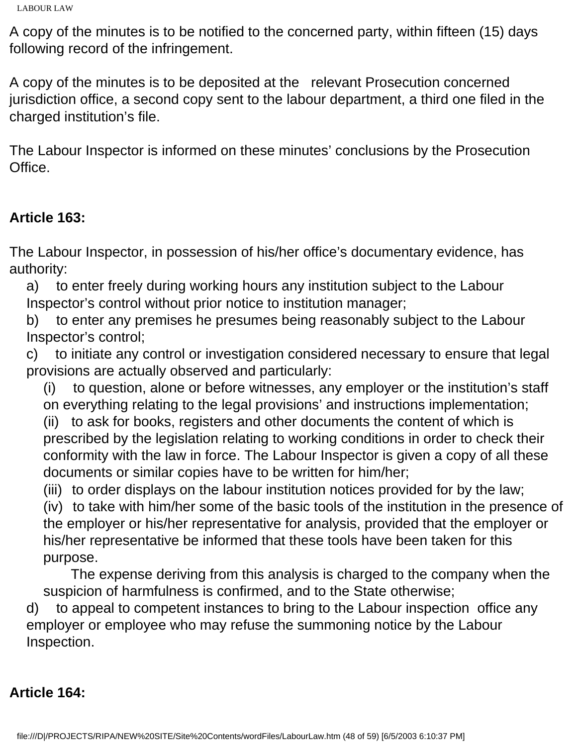A copy of the minutes is to be notified to the concerned party, within fifteen (15) days following record of the infringement.

A copy of the minutes is to be deposited at the relevant Prosecution concerned jurisdiction office, a second copy sent to the labour department, a third one filed in the charged institution's file.

The Labour Inspector is informed on these minutes' conclusions by the Prosecution Office.

## **Article 163:**

The Labour Inspector, in possession of his/her office's documentary evidence, has authority:

a) to enter freely during working hours any institution subject to the Labour Inspector's control without prior notice to institution manager;

b) to enter any premises he presumes being reasonably subject to the Labour Inspector's control;

c) to initiate any control or investigation considered necessary to ensure that legal provisions are actually observed and particularly:

(i) to question, alone or before witnesses, any employer or the institution's staff on everything relating to the legal provisions' and instructions implementation;

(ii) to ask for books, registers and other documents the content of which is prescribed by the legislation relating to working conditions in order to check their conformity with the law in force. The Labour Inspector is given a copy of all these documents or similar copies have to be written for him/her;

(iii) to order displays on the labour institution notices provided for by the law;

(iv) to take with him/her some of the basic tools of the institution in the presence of the employer or his/her representative for analysis, provided that the employer or his/her representative be informed that these tools have been taken for this purpose.

 The expense deriving from this analysis is charged to the company when the suspicion of harmfulness is confirmed, and to the State otherwise;

d) to appeal to competent instances to bring to the Labour inspection office any employer or employee who may refuse the summoning notice by the Labour Inspection.

## **Article 164:**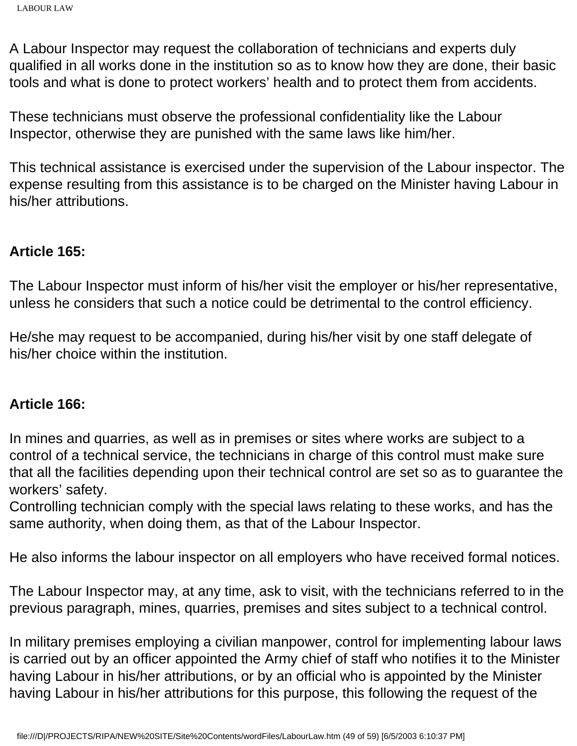A Labour Inspector may request the collaboration of technicians and experts duly qualified in all works done in the institution so as to know how they are done, their basic tools and what is done to protect workers' health and to protect them from accidents.

These technicians must observe the professional confidentiality like the Labour Inspector, otherwise they are punished with the same laws like him/her.

This technical assistance is exercised under the supervision of the Labour inspector. The expense resulting from this assistance is to be charged on the Minister having Labour in his/her attributions.

#### **Article 165:**

The Labour Inspector must inform of his/her visit the employer or his/her representative, unless he considers that such a notice could be detrimental to the control efficiency.

He/she may request to be accompanied, during his/her visit by one staff delegate of his/her choice within the institution.

#### **Article 166:**

In mines and quarries, as well as in premises or sites where works are subject to a control of a technical service, the technicians in charge of this control must make sure that all the facilities depending upon their technical control are set so as to guarantee the workers' safety.

Controlling technician comply with the special laws relating to these works, and has the same authority, when doing them, as that of the Labour Inspector.

He also informs the labour inspector on all employers who have received formal notices.

The Labour Inspector may, at any time, ask to visit, with the technicians referred to in the previous paragraph, mines, quarries, premises and sites subject to a technical control.

In military premises employing a civilian manpower, control for implementing labour laws is carried out by an officer appointed the Army chief of staff who notifies it to the Minister having Labour in his/her attributions, or by an official who is appointed by the Minister having Labour in his/her attributions for this purpose, this following the request of the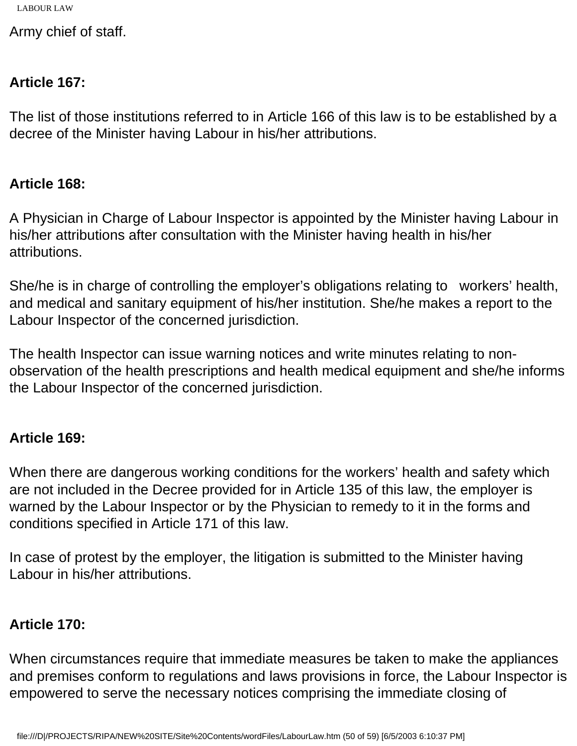Army chief of staff.

## **Article 167:**

The list of those institutions referred to in Article 166 of this law is to be established by a decree of the Minister having Labour in his/her attributions.

### **Article 168:**

A Physician in Charge of Labour Inspector is appointed by the Minister having Labour in his/her attributions after consultation with the Minister having health in his/her attributions.

She/he is in charge of controlling the employer's obligations relating to workers' health, and medical and sanitary equipment of his/her institution. She/he makes a report to the Labour Inspector of the concerned jurisdiction.

The health Inspector can issue warning notices and write minutes relating to nonobservation of the health prescriptions and health medical equipment and she/he informs the Labour Inspector of the concerned jurisdiction.

## **Article 169:**

When there are dangerous working conditions for the workers' health and safety which are not included in the Decree provided for in Article 135 of this law, the employer is warned by the Labour Inspector or by the Physician to remedy to it in the forms and conditions specified in Article 171 of this law.

In case of protest by the employer, the litigation is submitted to the Minister having Labour in his/her attributions.

## **Article 170:**

When circumstances require that immediate measures be taken to make the appliances and premises conform to regulations and laws provisions in force, the Labour Inspector is empowered to serve the necessary notices comprising the immediate closing of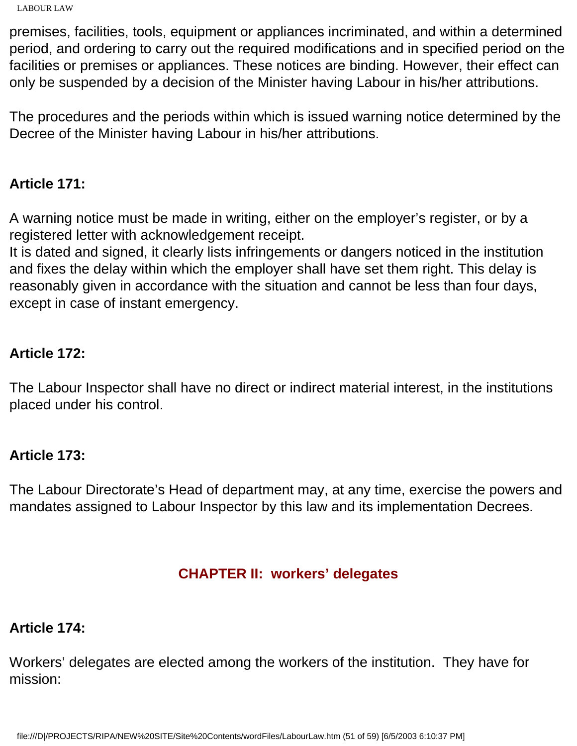```
LABOUR LAW
```
premises, facilities, tools, equipment or appliances incriminated, and within a determined period, and ordering to carry out the required modifications and in specified period on the facilities or premises or appliances. These notices are binding. However, their effect can only be suspended by a decision of the Minister having Labour in his/her attributions.

The procedures and the periods within which is issued warning notice determined by the Decree of the Minister having Labour in his/her attributions.

## **Article 171:**

A warning notice must be made in writing, either on the employer's register, or by a registered letter with acknowledgement receipt.

It is dated and signed, it clearly lists infringements or dangers noticed in the institution and fixes the delay within which the employer shall have set them right. This delay is reasonably given in accordance with the situation and cannot be less than four days, except in case of instant emergency.

## **Article 172:**

The Labour Inspector shall have no direct or indirect material interest, in the institutions placed under his control.

## **Article 173:**

The Labour Directorate's Head of department may, at any time, exercise the powers and mandates assigned to Labour Inspector by this law and its implementation Decrees.

## **CHAPTER II: workers' delegates**

## **Article 174:**

Workers' delegates are elected among the workers of the institution. They have for mission: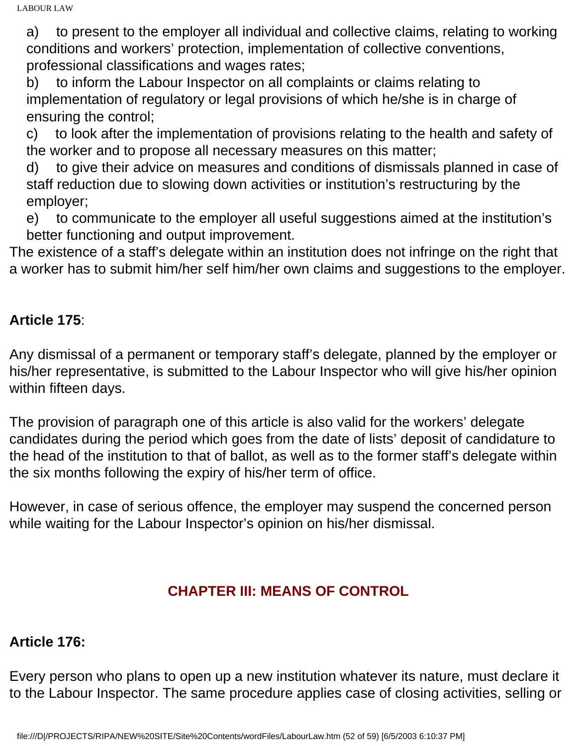a) to present to the employer all individual and collective claims, relating to working conditions and workers' protection, implementation of collective conventions, professional classifications and wages rates;

b) to inform the Labour Inspector on all complaints or claims relating to implementation of regulatory or legal provisions of which he/she is in charge of ensuring the control;

c) to look after the implementation of provisions relating to the health and safety of the worker and to propose all necessary measures on this matter;

d) to give their advice on measures and conditions of dismissals planned in case of staff reduction due to slowing down activities or institution's restructuring by the employer;

e) to communicate to the employer all useful suggestions aimed at the institution's better functioning and output improvement.

The existence of a staff's delegate within an institution does not infringe on the right that a worker has to submit him/her self him/her own claims and suggestions to the employer.

## **Article 175**:

Any dismissal of a permanent or temporary staff's delegate, planned by the employer or his/her representative, is submitted to the Labour Inspector who will give his/her opinion within fifteen days.

The provision of paragraph one of this article is also valid for the workers' delegate candidates during the period which goes from the date of lists' deposit of candidature to the head of the institution to that of ballot, as well as to the former staff's delegate within the six months following the expiry of his/her term of office.

However, in case of serious offence, the employer may suspend the concerned person while waiting for the Labour Inspector's opinion on his/her dismissal.

## **CHAPTER III: MEANS OF CONTROL**

## **Article 176:**

Every person who plans to open up a new institution whatever its nature, must declare it to the Labour Inspector. The same procedure applies case of closing activities, selling or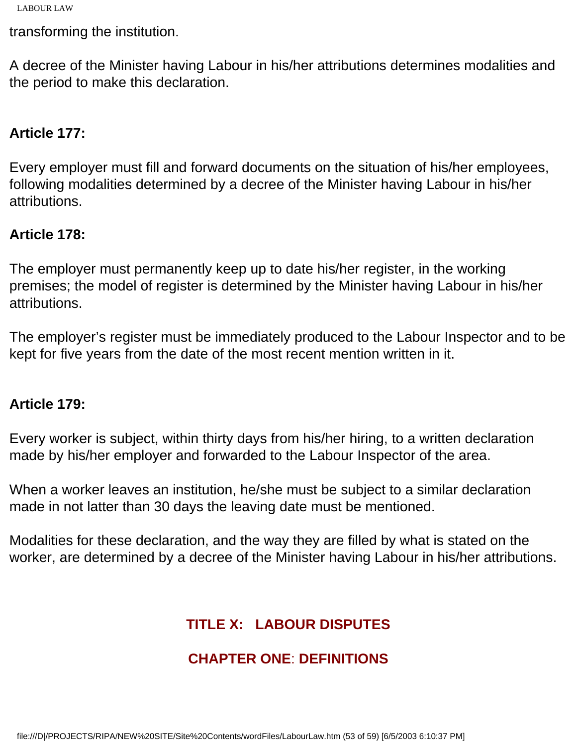transforming the institution.

A decree of the Minister having Labour in his/her attributions determines modalities and the period to make this declaration.

## **Article 177:**

Every employer must fill and forward documents on the situation of his/her employees, following modalities determined by a decree of the Minister having Labour in his/her attributions.

## **Article 178:**

The employer must permanently keep up to date his/her register, in the working premises; the model of register is determined by the Minister having Labour in his/her attributions.

The employer's register must be immediately produced to the Labour Inspector and to be kept for five years from the date of the most recent mention written in it.

#### **Article 179:**

Every worker is subject, within thirty days from his/her hiring, to a written declaration made by his/her employer and forwarded to the Labour Inspector of the area.

When a worker leaves an institution, he/she must be subject to a similar declaration made in not latter than 30 days the leaving date must be mentioned.

Modalities for these declaration, and the way they are filled by what is stated on the worker, are determined by a decree of the Minister having Labour in his/her attributions.

# **TITLE X: LABOUR DISPUTES**

# **CHAPTER ONE**: **DEFINITIONS**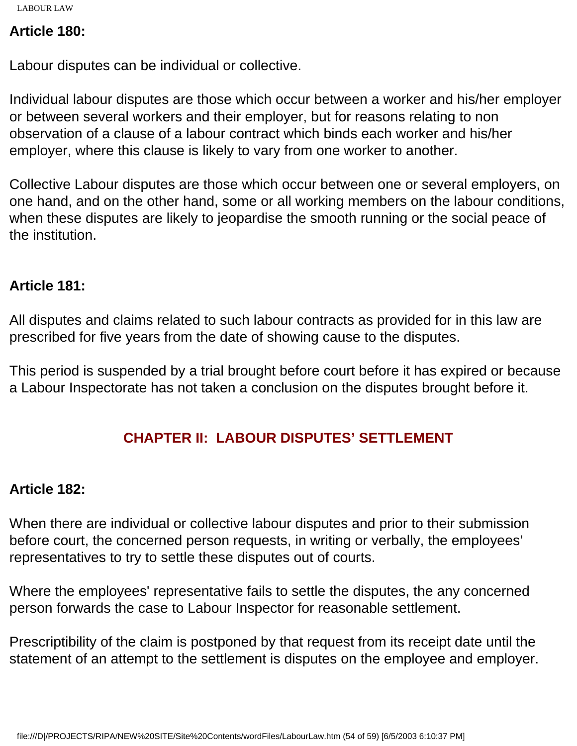## **Article 180:**

Labour disputes can be individual or collective.

Individual labour disputes are those which occur between a worker and his/her employer or between several workers and their employer, but for reasons relating to non observation of a clause of a labour contract which binds each worker and his/her employer, where this clause is likely to vary from one worker to another.

Collective Labour disputes are those which occur between one or several employers, on one hand, and on the other hand, some or all working members on the labour conditions, when these disputes are likely to jeopardise the smooth running or the social peace of the institution.

## **Article 181:**

All disputes and claims related to such labour contracts as provided for in this law are prescribed for five years from the date of showing cause to the disputes.

This period is suspended by a trial brought before court before it has expired or because a Labour Inspectorate has not taken a conclusion on the disputes brought before it.

# **CHAPTER II: LABOUR DISPUTES' SETTLEMENT**

## **Article 182:**

When there are individual or collective labour disputes and prior to their submission before court, the concerned person requests, in writing or verbally, the employees' representatives to try to settle these disputes out of courts.

Where the employees' representative fails to settle the disputes, the any concerned person forwards the case to Labour Inspector for reasonable settlement.

Prescriptibility of the claim is postponed by that request from its receipt date until the statement of an attempt to the settlement is disputes on the employee and employer.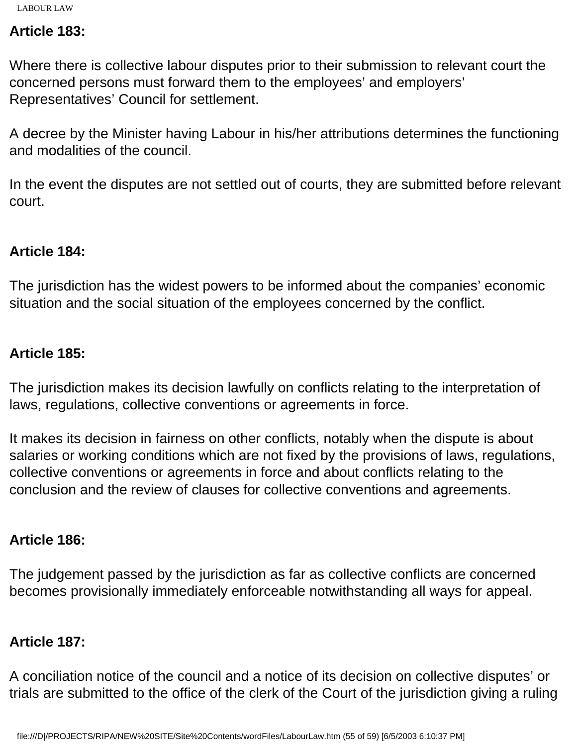#### **Article 183:**

Where there is collective labour disputes prior to their submission to relevant court the concerned persons must forward them to the employees' and employers' Representatives' Council for settlement.

A decree by the Minister having Labour in his/her attributions determines the functioning and modalities of the council.

In the event the disputes are not settled out of courts, they are submitted before relevant court.

#### **Article 184:**

The jurisdiction has the widest powers to be informed about the companies' economic situation and the social situation of the employees concerned by the conflict.

### **Article 185:**

The jurisdiction makes its decision lawfully on conflicts relating to the interpretation of laws, regulations, collective conventions or agreements in force.

It makes its decision in fairness on other conflicts, notably when the dispute is about salaries or working conditions which are not fixed by the provisions of laws, regulations, collective conventions or agreements in force and about conflicts relating to the conclusion and the review of clauses for collective conventions and agreements.

## **Article 186:**

The judgement passed by the jurisdiction as far as collective conflicts are concerned becomes provisionally immediately enforceable notwithstanding all ways for appeal.

## **Article 187:**

A conciliation notice of the council and a notice of its decision on collective disputes' or trials are submitted to the office of the clerk of the Court of the jurisdiction giving a ruling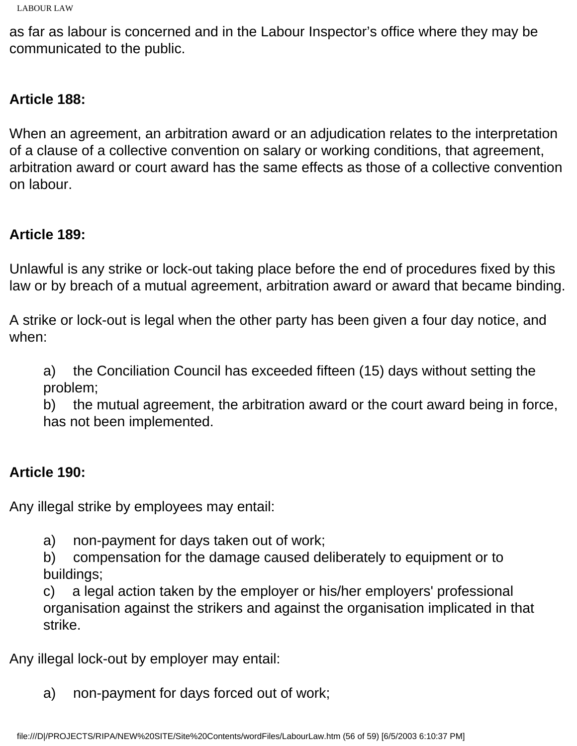as far as labour is concerned and in the Labour Inspector's office where they may be communicated to the public.

## **Article 188:**

When an agreement, an arbitration award or an adjudication relates to the interpretation of a clause of a collective convention on salary or working conditions, that agreement, arbitration award or court award has the same effects as those of a collective convention on labour.

## **Article 189:**

Unlawful is any strike or lock-out taking place before the end of procedures fixed by this law or by breach of a mutual agreement, arbitration award or award that became binding.

A strike or lock-out is legal when the other party has been given a four day notice, and when:

a) the Conciliation Council has exceeded fifteen (15) days without setting the problem;

b) the mutual agreement, the arbitration award or the court award being in force, has not been implemented.

## **Article 190:**

Any illegal strike by employees may entail:

a) non-payment for days taken out of work;

b) compensation for the damage caused deliberately to equipment or to buildings;

c) a legal action taken by the employer or his/her employers' professional organisation against the strikers and against the organisation implicated in that strike.

Any illegal lock-out by employer may entail:

a) non-payment for days forced out of work;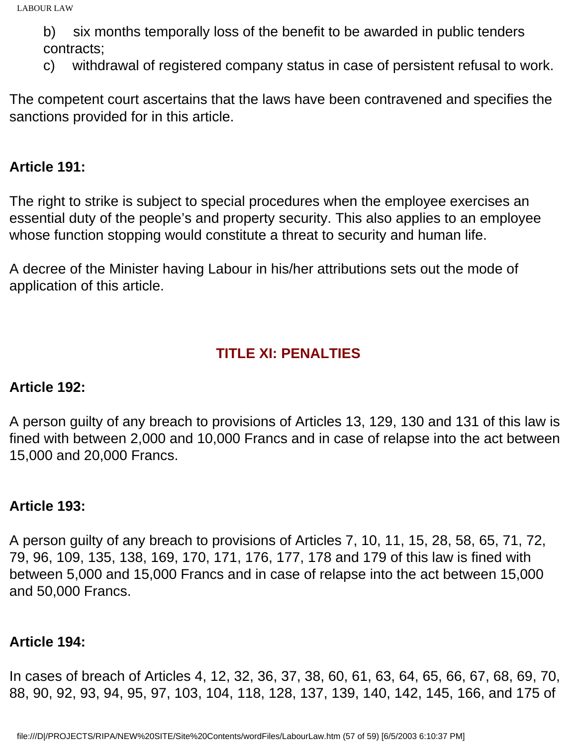b) six months temporally loss of the benefit to be awarded in public tenders contracts;

c) withdrawal of registered company status in case of persistent refusal to work.

The competent court ascertains that the laws have been contravened and specifies the sanctions provided for in this article.

#### **Article 191:**

The right to strike is subject to special procedures when the employee exercises an essential duty of the people's and property security. This also applies to an employee whose function stopping would constitute a threat to security and human life.

A decree of the Minister having Labour in his/her attributions sets out the mode of application of this article.

## **TITLE XI: PENALTIES**

#### **Article 192:**

A person guilty of any breach to provisions of Articles 13, 129, 130 and 131 of this law is fined with between 2,000 and 10,000 Francs and in case of relapse into the act between 15,000 and 20,000 Francs.

## **Article 193:**

A person guilty of any breach to provisions of Articles 7, 10, 11, 15, 28, 58, 65, 71, 72, 79, 96, 109, 135, 138, 169, 170, 171, 176, 177, 178 and 179 of this law is fined with between 5,000 and 15,000 Francs and in case of relapse into the act between 15,000 and 50,000 Francs.

## **Article 194:**

In cases of breach of Articles 4, 12, 32, 36, 37, 38, 60, 61, 63, 64, 65, 66, 67, 68, 69, 70, 88, 90, 92, 93, 94, 95, 97, 103, 104, 118, 128, 137, 139, 140, 142, 145, 166, and 175 of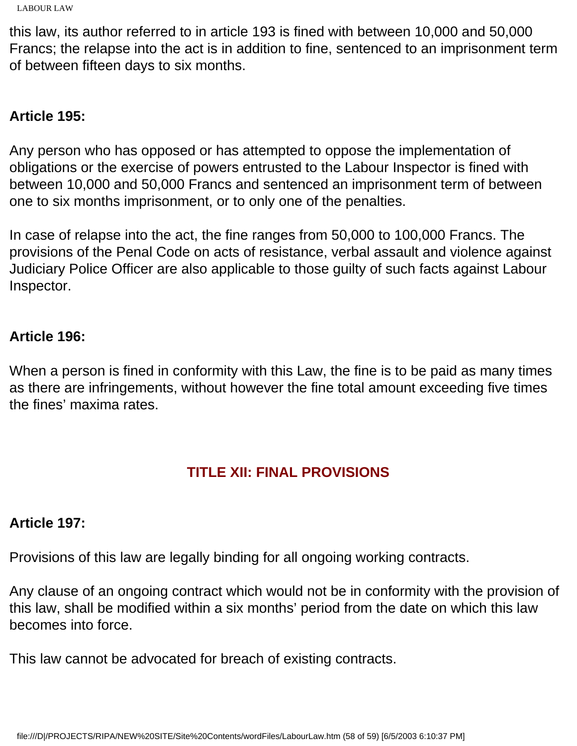```
LABOUR LAW
```
this law, its author referred to in article 193 is fined with between 10,000 and 50,000 Francs; the relapse into the act is in addition to fine, sentenced to an imprisonment term of between fifteen days to six months.

# **Article 195:**

Any person who has opposed or has attempted to oppose the implementation of obligations or the exercise of powers entrusted to the Labour Inspector is fined with between 10,000 and 50,000 Francs and sentenced an imprisonment term of between one to six months imprisonment, or to only one of the penalties.

In case of relapse into the act, the fine ranges from 50,000 to 100,000 Francs. The provisions of the Penal Code on acts of resistance, verbal assault and violence against Judiciary Police Officer are also applicable to those guilty of such facts against Labour Inspector.

## **Article 196:**

When a person is fined in conformity with this Law, the fine is to be paid as many times as there are infringements, without however the fine total amount exceeding five times the fines' maxima rates.

## **TITLE XII: FINAL PROVISIONS**

## **Article 197:**

Provisions of this law are legally binding for all ongoing working contracts.

Any clause of an ongoing contract which would not be in conformity with the provision of this law, shall be modified within a six months' period from the date on which this law becomes into force.

This law cannot be advocated for breach of existing contracts.